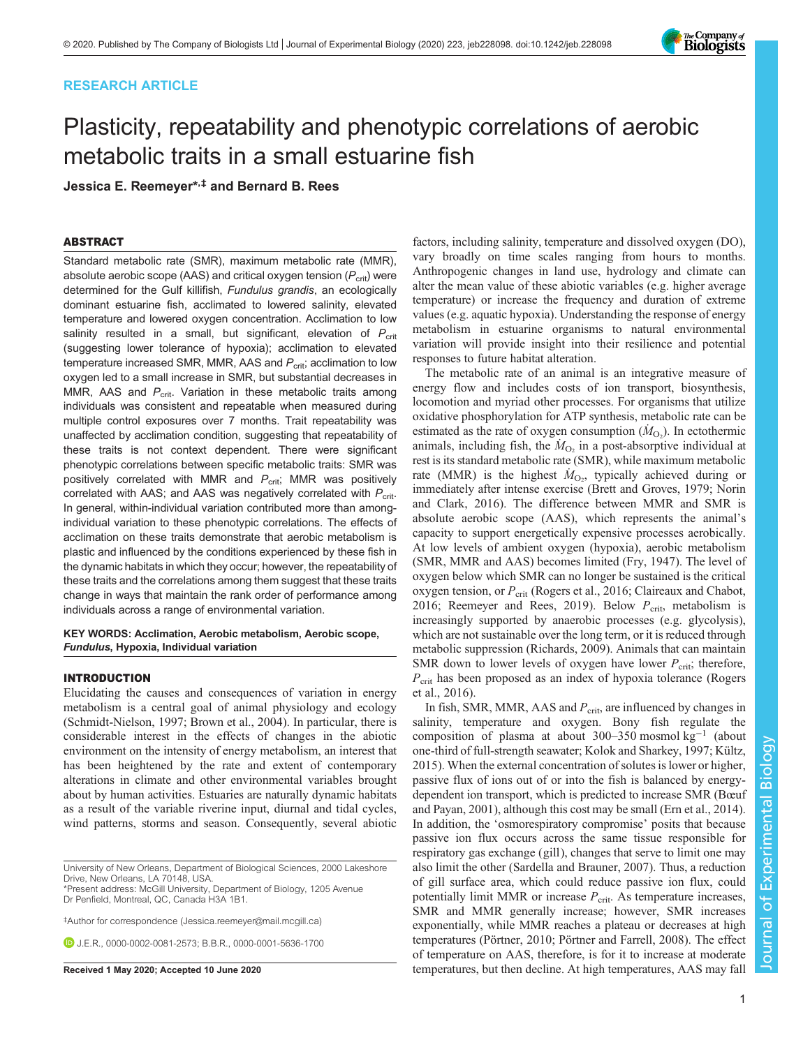## RESEARCH ARTICLE

# Plasticity, repeatability and phenotypic correlations of aerobic metabolic traits in a small estuarine fish

Jessica E. Reemeyer\*,‡ and Bernard B. Rees

## ABSTRACT

Standard metabolic rate (SMR), maximum metabolic rate (MMR), absolute aerobic scope (AAS) and critical oxygen tension  $(P_{\text{crit}})$  were determined for the Gulf killifish, Fundulus grandis, an ecologically dominant estuarine fish, acclimated to lowered salinity, elevated temperature and lowered oxygen concentration. Acclimation to low salinity resulted in a small, but significant, elevation of  $P_{\text{crit}}$ (suggesting lower tolerance of hypoxia); acclimation to elevated temperature increased SMR, MMR, AAS and  $P_{\text{crit}}$ ; acclimation to low oxygen led to a small increase in SMR, but substantial decreases in MMR, AAS and  $P_{\text{crit}}$ . Variation in these metabolic traits among individuals was consistent and repeatable when measured during multiple control exposures over 7 months. Trait repeatability was unaffected by acclimation condition, suggesting that repeatability of these traits is not context dependent. There were significant phenotypic correlations between specific metabolic traits: SMR was positively correlated with MMR and  $P_{\text{crit}}$ ; MMR was positively correlated with AAS; and AAS was negatively correlated with  $P_{\text{crit}}$ . In general, within-individual variation contributed more than amongindividual variation to these phenotypic correlations. The effects of acclimation on these traits demonstrate that aerobic metabolism is plastic and influenced by the conditions experienced by these fish in the dynamic habitats in which they occur; however, the repeatability of these traits and the correlations among them suggest that these traits change in ways that maintain the rank order of performance among individuals across a range of environmental variation.

KEY WORDS: Acclimation, Aerobic metabolism, Aerobic scope, Fundulus, Hypoxia, Individual variation

## INTRODUCTION

Elucidating the causes and consequences of variation in energy metabolism is a central goal of animal physiology and ecology [\(Schmidt-Nielson, 1997;](#page-12-0) [Brown et al., 2004\)](#page-10-0). In particular, there is considerable interest in the effects of changes in the abiotic environment on the intensity of energy metabolism, an interest that has been heightened by the rate and extent of contemporary alterations in climate and other environmental variables brought about by human activities. Estuaries are naturally dynamic habitats as a result of the variable riverine input, diurnal and tidal cycles, wind patterns, storms and season. Consequently, several abiotic

University of New Orleans, Department of Biological Sciences, 2000 Lakeshore Drive, New Orleans, LA 70148, USA.

\*Present address: McGill University, Department of Biology, 1205 Avenue Dr Penfield, Montreal, QC, Canada H3A 1B1.

‡ Author for correspondence ([Jessica.reemeyer@mail.mcgill.ca](mailto:Jessica.reemeyer@mail.mcgill.ca))

**D.** J.E.R., [0000-0002-0081-2573;](http://orcid.org/0000-0002-0081-2573) B.B.R., [0000-0001-5636-1700](http://orcid.org/0000-0001-5636-1700)

factors, including salinity, temperature and dissolved oxygen (DO), vary broadly on time scales ranging from hours to months. Anthropogenic changes in land use, hydrology and climate can alter the mean value of these abiotic variables (e.g. higher average temperature) or increase the frequency and duration of extreme values (e.g. aquatic hypoxia). Understanding the response of energy metabolism in estuarine organisms to natural environmental variation will provide insight into their resilience and potential responses to future habitat alteration.

The metabolic rate of an animal is an integrative measure of energy flow and includes costs of ion transport, biosynthesis, locomotion and myriad other processes. For organisms that utilize oxidative phosphorylation for ATP synthesis, metabolic rate can be estimated as the rate of oxygen consumption  $(M<sub>O2</sub>)$ . In ectothermic animals, including fish, the  $\dot{M}_{\text{O}_2}$  in a post-absorptive individual at rest is its standard metabolic rate (SMR), while maximum metabolic rate (MMR) is the highest  $\dot{M}_{\text{O}_2}$ , typically achieved during or immediately after intense exercise [\(Brett and Groves, 1979](#page-10-0); [Norin](#page-11-0) [and Clark, 2016\)](#page-11-0). The difference between MMR and SMR is absolute aerobic scope (AAS), which represents the animal's capacity to support energetically expensive processes aerobically. At low levels of ambient oxygen (hypoxia), aerobic metabolism (SMR, MMR and AAS) becomes limited ([Fry, 1947\)](#page-11-0). The level of oxygen below which SMR can no longer be sustained is the critical oxygen tension, or  $P_{\text{crit}}$  ([Rogers et al., 2016](#page-11-0); [Claireaux and Chabot,](#page-10-0) [2016;](#page-10-0) [Reemeyer and Rees, 2019](#page-11-0)). Below  $P_{\text{crit}}$ , metabolism is increasingly supported by anaerobic processes (e.g. glycolysis), which are not sustainable over the long term, or it is reduced through metabolic suppression ([Richards, 2009](#page-11-0)). Animals that can maintain SMR down to lower levels of oxygen have lower  $P_{\text{crit}}$ ; therefore,  $P_{\text{crit}}$  has been proposed as an index of hypoxia tolerance [\(Rogers](#page-11-0) [et al., 2016\)](#page-11-0).

In fish, SMR, MMR, AAS and  $P_{\text{crit}}$ , are influenced by changes in salinity, temperature and oxygen. Bony fish regulate the composition of plasma at about 300–350 mosmol kg−<sup>1</sup> (about one-third of full-strength seawater; [Kolok and Sharkey, 1997](#page-11-0); [Kültz,](#page-11-0) [2015\)](#page-11-0). When the external concentration of solutes is lower or higher, passive flux of ions out of or into the fish is balanced by energydependent ion transport, which is predicted to increase SMR (Bœ[uf](#page-10-0) [and Payan, 2001](#page-10-0)), although this cost may be small [\(Ern et al., 2014\)](#page-11-0). In addition, the 'osmorespiratory compromise' posits that because passive ion flux occurs across the same tissue responsible for respiratory gas exchange (gill), changes that serve to limit one may also limit the other ([Sardella and Brauner, 2007\)](#page-12-0). Thus, a reduction of gill surface area, which could reduce passive ion flux, could potentially limit MMR or increase  $P_{\text{crit}}$ . As temperature increases, SMR and MMR generally increase; however, SMR increases exponentially, while MMR reaches a plateau or decreases at high temperatures ([Pörtner, 2010](#page-11-0); [Pörtner and Farrell, 2008](#page-11-0)). The effect of temperature on AAS, therefore, is for it to increase at moderate Received 1 May 2020; Accepted 10 June 2020 temperatures, but then decline. At high temperatures, AAS may fall

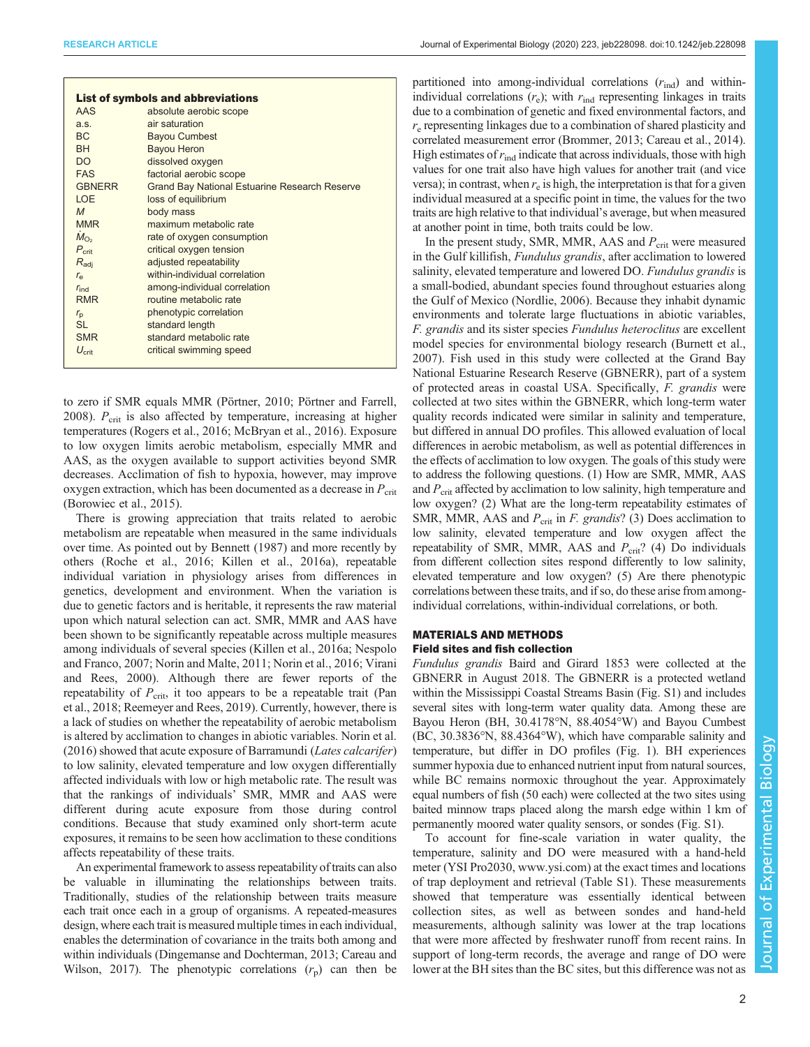|                   | <b>List of symbols and abbreviations</b>             |
|-------------------|------------------------------------------------------|
| AAS               | absolute aerobic scope                               |
| a.s.              | air saturation                                       |
| <b>BC</b>         | <b>Bayou Cumbest</b>                                 |
| <b>BH</b>         | <b>Bayou Heron</b>                                   |
| DO                | dissolved oxygen                                     |
| <b>FAS</b>        | factorial aerobic scope                              |
| <b>GBNERR</b>     | <b>Grand Bay National Estuarine Research Reserve</b> |
| <b>LOE</b>        | loss of equilibrium                                  |
| $\mathcal{M}$     | body mass                                            |
| <b>MMR</b>        | maximum metabolic rate                               |
| $M_{\rm O2}$      | rate of oxygen consumption                           |
| $P_{\rm crit}$    | critical oxygen tension                              |
| $R_{\text{adi}}$  | adjusted repeatability                               |
| $r_{\rm e}$       | within-individual correlation                        |
| $r_{\rm ind}$     | among-individual correlation                         |
| <b>RMR</b>        | routine metabolic rate                               |
| $r_{\rm p}$       | phenotypic correlation                               |
| <b>SL</b>         | standard length                                      |
| <b>SMR</b>        | standard metabolic rate                              |
| $U_{\text{crit}}$ | critical swimming speed                              |
|                   |                                                      |

to zero if SMR equals MMR [\(Pörtner, 2010](#page-11-0); [Pörtner and Farrell,](#page-11-0) [2008](#page-11-0)).  $P_{\text{crit}}$  is also affected by temperature, increasing at higher temperatures [\(Rogers et al., 2016](#page-11-0); [McBryan et al., 2016\)](#page-11-0). Exposure to low oxygen limits aerobic metabolism, especially MMR and AAS, as the oxygen available to support activities beyond SMR decreases. Acclimation of fish to hypoxia, however, may improve oxygen extraction, which has been documented as a decrease in  $P_{\rm crit}$ [\(Borowiec et al., 2015\)](#page-10-0).

There is growing appreciation that traits related to aerobic metabolism are repeatable when measured in the same individuals over time. As pointed out by [Bennett \(1987\)](#page-10-0) and more recently by others ([Roche et al., 2016](#page-11-0); [Killen et al., 2016a](#page-11-0)), repeatable individual variation in physiology arises from differences in genetics, development and environment. When the variation is due to genetic factors and is heritable, it represents the raw material upon which natural selection can act. SMR, MMR and AAS have been shown to be significantly repeatable across multiple measures among individuals of several species ([Killen et al., 2016a; Nespolo](#page-11-0) [and Franco, 2007; Norin and Malte, 2011](#page-11-0); [Norin et al., 2016;](#page-11-0) [Virani](#page-12-0) [and Rees, 2000\)](#page-12-0). Although there are fewer reports of the repeatability of  $P_{\text{crit}}$ , it too appears to be a repeatable trait [\(Pan](#page-11-0) [et al., 2018](#page-11-0); [Reemeyer and Rees, 2019\)](#page-11-0). Currently, however, there is a lack of studies on whether the repeatability of aerobic metabolism is altered by acclimation to changes in abiotic variables. [Norin et al.](#page-11-0) [\(2016\)](#page-11-0) showed that acute exposure of Barramundi (Lates calcarifer) to low salinity, elevated temperature and low oxygen differentially affected individuals with low or high metabolic rate. The result was that the rankings of individuals' SMR, MMR and AAS were different during acute exposure from those during control conditions. Because that study examined only short-term acute exposures, it remains to be seen how acclimation to these conditions affects repeatability of these traits.

An experimental framework to assess repeatability of traits can also be valuable in illuminating the relationships between traits. Traditionally, studies of the relationship between traits measure each trait once each in a group of organisms. A repeated-measures design, where each trait is measured multiple times in each individual, enables the determination of covariance in the traits both among and within individuals [\(Dingemanse and Dochterman, 2013](#page-11-0); [Careau and](#page-10-0) [Wilson, 2017\)](#page-10-0). The phenotypic correlations  $(r_p)$  can then be

partitioned into among-individual correlations  $(r_{\text{ind}})$  and withinindividual correlations  $(r_e)$ ; with  $r_{ind}$  representing linkages in traits due to a combination of genetic and fixed environmental factors, and  $r_{\rm e}$  representing linkages due to a combination of shared plasticity and correlated measurement error [\(Brommer, 2013; Careau et al., 2014\)](#page-10-0). High estimates of  $r_{\text{ind}}$  indicate that across individuals, those with high values for one trait also have high values for another trait (and vice versa); in contrast, when  $r_e$  is high, the interpretation is that for a given individual measured at a specific point in time, the values for the two traits are high relative to that individual's average, but when measured at another point in time, both traits could be low.

In the present study, SMR, MMR, AAS and  $P_{\text{crit}}$  were measured in the Gulf killifish, Fundulus grandis, after acclimation to lowered salinity, elevated temperature and lowered DO. Fundulus grandis is a small-bodied, abundant species found throughout estuaries along the Gulf of Mexico [\(Nordlie, 2006\)](#page-11-0). Because they inhabit dynamic environments and tolerate large fluctuations in abiotic variables, F. grandis and its sister species Fundulus heteroclitus are excellent model species for environmental biology research ([Burnett et al.,](#page-10-0) [2007\)](#page-10-0). Fish used in this study were collected at the Grand Bay National Estuarine Research Reserve (GBNERR), part of a system of protected areas in coastal USA. Specifically, F. grandis were collected at two sites within the GBNERR, which long-term water quality records indicated were similar in salinity and temperature, but differed in annual DO profiles. This allowed evaluation of local differences in aerobic metabolism, as well as potential differences in the effects of acclimation to low oxygen. The goals of this study were to address the following questions. (1) How are SMR, MMR, AAS and  $P_{\text{crit}}$  affected by acclimation to low salinity, high temperature and low oxygen? (2) What are the long-term repeatability estimates of SMR, MMR, AAS and  $P_{\text{crit}}$  in *F. grandis*? (3) Does acclimation to low salinity, elevated temperature and low oxygen affect the repeatability of SMR, MMR, AAS and  $P_{\text{crit}}$ ? (4) Do individuals from different collection sites respond differently to low salinity, elevated temperature and low oxygen? (5) Are there phenotypic correlations between these traits, and if so, do these arise from amongindividual correlations, within-individual correlations, or both.

## MATERIALS AND METHODS Field sites and fish collection

Fundulus grandis Baird and Girard 1853 were collected at the GBNERR in August 2018. The GBNERR is a protected wetland within the Mississippi Coastal Streams Basin ([Fig. S1\)](https://jeb.biologists.org/lookup/doi/10.1242/jeb.228098.supplemental) and includes several sites with long-term water quality data. Among these are Bayou Heron (BH, 30.4178°N, 88.4054°W) and Bayou Cumbest (BC, 30.3836°N, 88.4364°W), which have comparable salinity and temperature, but differ in DO profiles [\(Fig. 1](#page-2-0)). BH experiences summer hypoxia due to enhanced nutrient input from natural sources, while BC remains normoxic throughout the year. Approximately equal numbers of fish (50 each) were collected at the two sites using baited minnow traps placed along the marsh edge within 1 km of permanently moored water quality sensors, or sondes [\(Fig. S1](https://jeb.biologists.org/lookup/doi/10.1242/jeb.228098.supplemental)).

To account for fine-scale variation in water quality, the temperature, salinity and DO were measured with a hand-held meter (YSI Pro2030, [www.ysi.com\)](http://www.ysi.com) at the exact times and locations of trap deployment and retrieval ([Table S1](https://jeb.biologists.org/lookup/doi/10.1242/jeb.228098.supplemental)). These measurements showed that temperature was essentially identical between collection sites, as well as between sondes and hand-held measurements, although salinity was lower at the trap locations that were more affected by freshwater runoff from recent rains. In support of long-term records, the average and range of DO were lower at the BH sites than the BC sites, but this difference was not as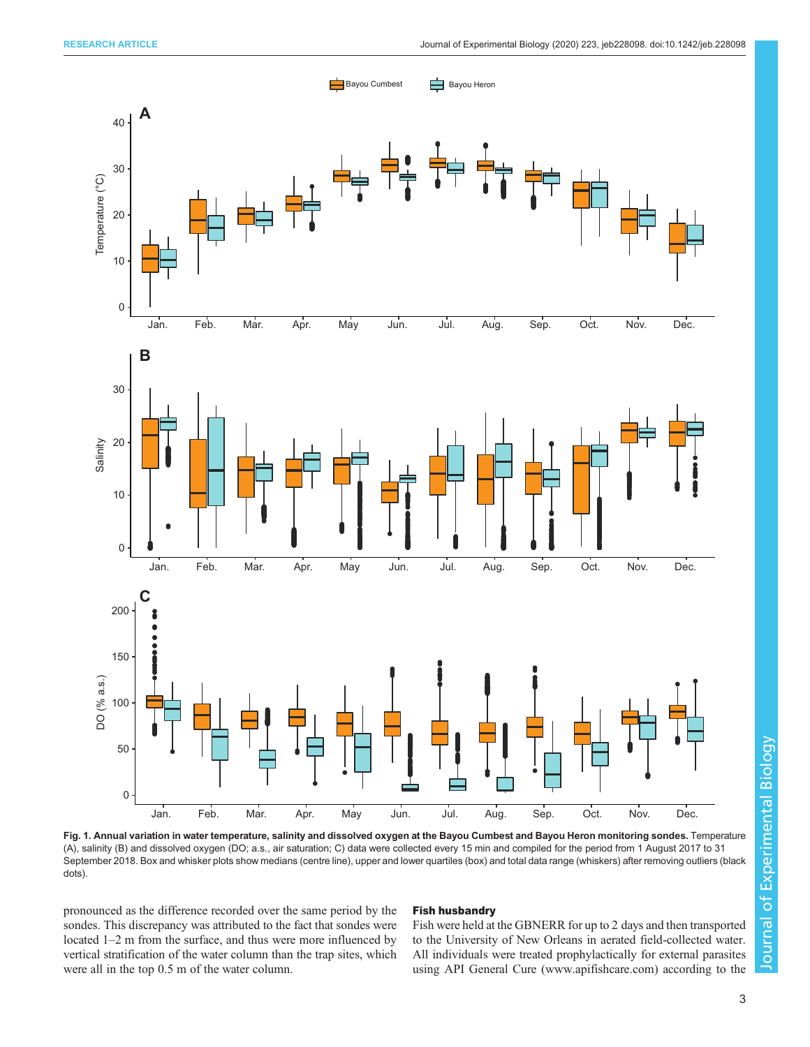<span id="page-2-0"></span>

Fig. 1. Annual variation in water temperature, salinity and dissolved oxygen at the Bayou Cumbest and Bayou Heron monitoring sondes. Temperature (A), salinity (B) and dissolved oxygen (DO; a.s., air saturation; C) data were collected every 15 min and compiled for the period from 1 August 2017 to 31 September 2018. Box and whisker plots show medians (centre line), upper and lower quartiles (box) and total data range (whiskers) after removing outliers (black dots).

pronounced as the difference recorded over the same period by the sondes. This discrepancy was attributed to the fact that sondes were located 1–2 m from the surface, and thus were more influenced by vertical stratification of the water column than the trap sites, which were all in the top 0.5 m of the water column.

## Fish husbandry

Fish were held at the GBNERR for up to 2 days and then transported to the University of New Orleans in aerated field-collected water. All individuals were treated prophylactically for external parasites using API General Cure [\(www.apifishcare.com\)](http://www.apifishcare.com) according to the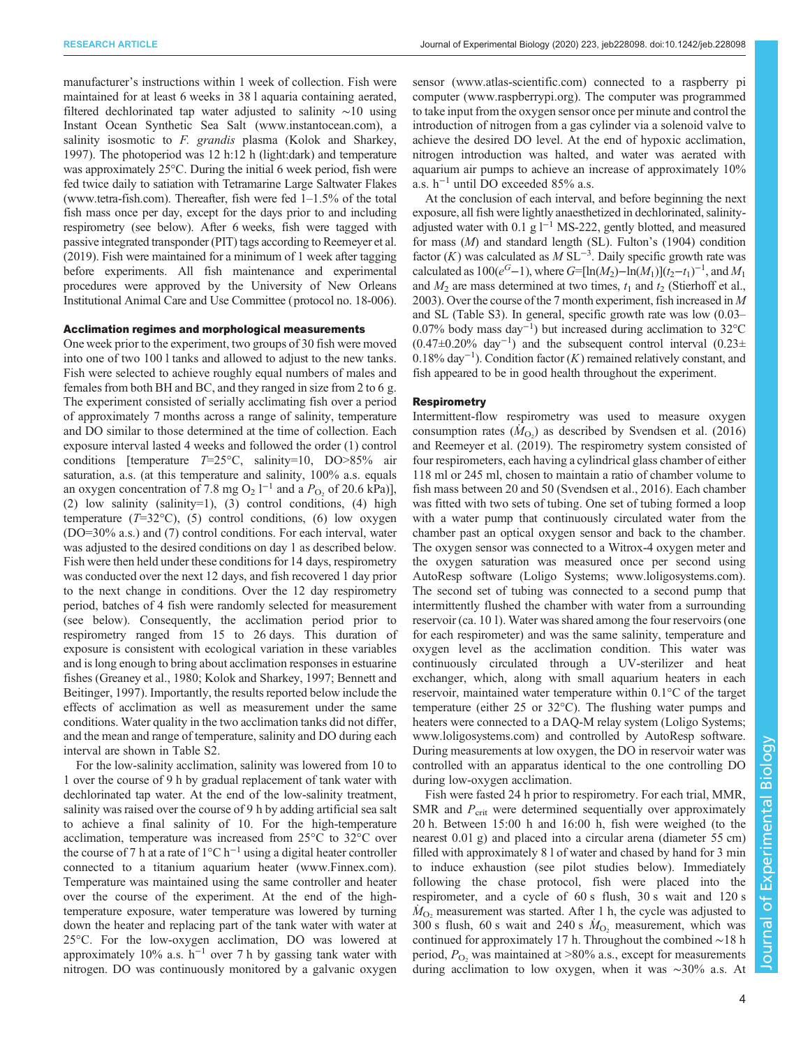manufacturer's instructions within 1 week of collection. Fish were maintained for at least 6 weeks in 38 l aquaria containing aerated, filtered dechlorinated tap water adjusted to salinity ∼10 using Instant Ocean Synthetic Sea Salt ([www.instantocean.com](http://www.instantocean.com)), a salinity isosmotic to F. grandis plasma ([Kolok and Sharkey,](#page-11-0) [1997](#page-11-0)). The photoperiod was 12 h:12 h (light:dark) and temperature was approximately 25°C. During the initial 6 week period, fish were fed twice daily to satiation with Tetramarine Large Saltwater Flakes [\(www.tetra-fish.com](http://www.tetra-fish.com)). Thereafter, fish were fed 1–1.5% of the total fish mass once per day, except for the days prior to and including respirometry (see below). After 6 weeks, fish were tagged with passive integrated transponder (PIT) tags according to [Reemeyer et al.](#page-11-0) [\(2019\).](#page-11-0) Fish were maintained for a minimum of 1 week after tagging before experiments. All fish maintenance and experimental procedures were approved by the University of New Orleans Institutional Animal Care and Use Committee (protocol no. 18-006).

## Acclimation regimes and morphological measurements

One week prior to the experiment, two groups of 30 fish were moved into one of two 100 l tanks and allowed to adjust to the new tanks. Fish were selected to achieve roughly equal numbers of males and females from both BH and BC, and they ranged in size from 2 to 6 g. The experiment consisted of serially acclimating fish over a period of approximately 7 months across a range of salinity, temperature and DO similar to those determined at the time of collection. Each exposure interval lasted 4 weeks and followed the order (1) control conditions [temperature  $T=25^{\circ}$ C, salinity=10, DO>85% air saturation, a.s. (at this temperature and salinity, 100% a.s. equals an oxygen concentration of 7.8 mg O<sub>2</sub> l<sup>-1</sup> and a  $P_{\text{O}_2}$  of 20.6 kPa)], (2) low salinity (salinity=1), (3) control conditions, (4) high temperature  $(T=32^{\circ}\text{C})$ , (5) control conditions, (6) low oxygen (DO=30% a.s.) and (7) control conditions. For each interval, water was adjusted to the desired conditions on day 1 as described below. Fish were then held under these conditions for 14 days, respirometry was conducted over the next 12 days, and fish recovered 1 day prior to the next change in conditions. Over the 12 day respirometry period, batches of 4 fish were randomly selected for measurement (see below). Consequently, the acclimation period prior to respirometry ranged from 15 to 26 days. This duration of exposure is consistent with ecological variation in these variables and is long enough to bring about acclimation responses in estuarine fishes [\(Greaney et al., 1980](#page-11-0); [Kolok and Sharkey, 1997](#page-11-0); [Bennett and](#page-10-0) [Beitinger, 1997](#page-10-0)). Importantly, the results reported below include the effects of acclimation as well as measurement under the same conditions. Water quality in the two acclimation tanks did not differ, and the mean and range of temperature, salinity and DO during each interval are shown in [Table S2](https://jeb.biologists.org/lookup/doi/10.1242/jeb.228098.supplemental).

For the low-salinity acclimation, salinity was lowered from 10 to 1 over the course of 9 h by gradual replacement of tank water with dechlorinated tap water. At the end of the low-salinity treatment, salinity was raised over the course of 9 h by adding artificial sea salt to achieve a final salinity of 10. For the high-temperature acclimation, temperature was increased from 25°C to 32°C over the course of 7 h at a rate of  $1^{\circ}$ C h<sup>-1</sup> using a digital heater controller connected to a titanium aquarium heater [\(www.Finnex.com\)](http://www.Finnex.com). Temperature was maintained using the same controller and heater over the course of the experiment. At the end of the hightemperature exposure, water temperature was lowered by turning down the heater and replacing part of the tank water with water at 25°C. For the low-oxygen acclimation, DO was lowered at approximately 10% a.s.  $h^{-1}$  over 7 h by gassing tank water with nitrogen. DO was continuously monitored by a galvanic oxygen

sensor ([www.atlas-scientific.com](http://www.atlas-scientific.com)) connected to a raspberry pi computer ([www.raspberrypi.org\)](http://www.raspberrypi.org). The computer was programmed to take input from the oxygen sensor once per minute and control the introduction of nitrogen from a gas cylinder via a solenoid valve to achieve the desired DO level. At the end of hypoxic acclimation, nitrogen introduction was halted, and water was aerated with aquarium air pumps to achieve an increase of approximately 10% a.s. h−<sup>1</sup> until DO exceeded 85% a.s.

At the conclusion of each interval, and before beginning the next exposure, all fish were lightly anaesthetized in dechlorinated, salinityadjusted water with 0.1 g l−<sup>1</sup> MS-222, gently blotted, and measured for mass (M) and standard length (SL). Fulton'[s \(1904\)](#page-11-0) condition factor  $(K)$  was calculated as  $M SL^{-3}$ . Daily specific growth rate was calculated as  $100(e^{G}-1)$ , where  $G=[\ln(M_2)-\ln(M_1)](t_2-t_1)^{-1}$ , and  $M_1$ and  $M_2$  are mass determined at two times,  $t_1$  and  $t_2$  [\(Stierhoff et al.,](#page-12-0) [2003\)](#page-12-0). Over the course of the 7 month experiment, fish increased in M and SL [\(Table S3\)](https://jeb.biologists.org/lookup/doi/10.1242/jeb.228098.supplemental). In general, specific growth rate was low (0.03– 0.07% body mass day−<sup>1</sup> ) but increased during acclimation to 32°C (0.47±0.20% day−<sup>1</sup> ) and the subsequent control interval (0.23± 0.18% day−<sup>1</sup> ). Condition factor (K) remained relatively constant, and fish appeared to be in good health throughout the experiment.

## **Respirometry**

Intermittent-flow respirometry was used to measure oxygen consumption rates  $(M<sub>O<sub>2</sub></sub>)$  as described by [Svendsen et al. \(2016\)](#page-12-0) and [Reemeyer et al. \(2019\)](#page-11-0). The respirometry system consisted of four respirometers, each having a cylindrical glass chamber of either 118 ml or 245 ml, chosen to maintain a ratio of chamber volume to fish mass between 20 and 50 [\(Svendsen et al., 2016](#page-12-0)). Each chamber was fitted with two sets of tubing. One set of tubing formed a loop with a water pump that continuously circulated water from the chamber past an optical oxygen sensor and back to the chamber. The oxygen sensor was connected to a Witrox-4 oxygen meter and the oxygen saturation was measured once per second using AutoResp software (Loligo Systems; [www.loligosystems.com\)](http://www.loligosystems.com). The second set of tubing was connected to a second pump that intermittently flushed the chamber with water from a surrounding reservoir (ca. 10 l). Water was shared among the four reservoirs (one for each respirometer) and was the same salinity, temperature and oxygen level as the acclimation condition. This water was continuously circulated through a UV-sterilizer and heat exchanger, which, along with small aquarium heaters in each reservoir, maintained water temperature within 0.1°C of the target temperature (either 25 or 32°C). The flushing water pumps and heaters were connected to a DAQ-M relay system (Loligo Systems; [www.loligosystems.com\)](http://www.loligosystems.com) and controlled by AutoResp software. During measurements at low oxygen, the DO in reservoir water was controlled with an apparatus identical to the one controlling DO during low-oxygen acclimation.

Fish were fasted 24 h prior to respirometry. For each trial, MMR, SMR and  $P_{\rm crit}$  were determined sequentially over approximately 20 h. Between 15:00 h and 16:00 h, fish were weighed (to the nearest 0.01 g) and placed into a circular arena (diameter 55 cm) filled with approximately 8 l of water and chased by hand for 3 min to induce exhaustion (see pilot studies below). Immediately following the chase protocol, fish were placed into the respirometer, and a cycle of 60 s flush, 30 s wait and 120 s  $\dot{M}_{\text{O}_2}$  measurement was started. After 1 h, the cycle was adjusted to 300 s flush, 60 s wait and 240 s  $\dot{M}_{\text{O}_2}$  measurement, which was continued for approximately 17 h. Throughout the combined ∼18 h period,  $P_{\text{O}_2}$  was maintained at  $>80\%$  a.s., except for measurements during acclimation to low oxygen, when it was ∼30% a.s. At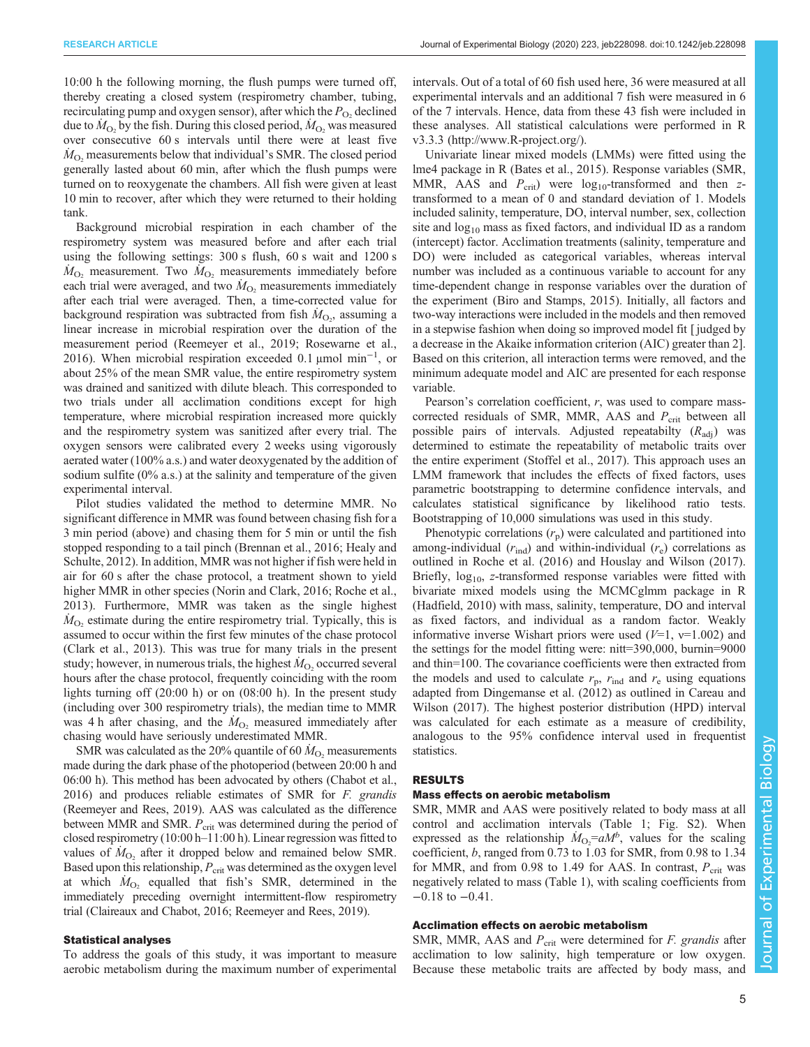10:00 h the following morning, the flush pumps were turned off, thereby creating a closed system (respirometry chamber, tubing, recirculating pump and oxygen sensor), after which the  $P_{\text{O}_2}$  declined due to  $\dot{M}_{\text{O}_2}$  by the fish. During this closed period,  $\dot{M}_{\text{O}_2}$  was measured over consecutive 60 s intervals until there were at least five  $\dot{M}_{\text{O}_2}$  measurements below that individual's SMR. The closed period generally lasted about 60 min, after which the flush pumps were turned on to reoxygenate the chambers. All fish were given at least 10 min to recover, after which they were returned to their holding tank.

Background microbial respiration in each chamber of the respirometry system was measured before and after each trial using the following settings: 300 s flush, 60 s wait and 1200 s  $\dot{M}_{\text{O}_2}$  measurement. Two  $\dot{M}_{\text{O}_2}$  measurements immediately before each trial were averaged, and two  $\dot{M}_{\text{O}_2}$  measurements immediately after each trial were averaged. Then, a time-corrected value for background respiration was subtracted from fish  $\dot{M}_{\text{O}_2}$ , assuming a linear increase in microbial respiration over the duration of the measurement period ([Reemeyer et al., 2019; Rosewarne et al.,](#page-11-0) [2016](#page-11-0)). When microbial respiration exceeded 0.1 μmol min−<sup>1</sup> , or about 25% of the mean SMR value, the entire respirometry system was drained and sanitized with dilute bleach. This corresponded to two trials under all acclimation conditions except for high temperature, where microbial respiration increased more quickly and the respirometry system was sanitized after every trial. The oxygen sensors were calibrated every 2 weeks using vigorously aerated water (100% a.s.) and water deoxygenated by the addition of sodium sulfite (0% a.s.) at the salinity and temperature of the given experimental interval.

Pilot studies validated the method to determine MMR. No significant difference in MMR was found between chasing fish for a 3 min period (above) and chasing them for 5 min or until the fish stopped responding to a tail pinch ([Brennan et al., 2016;](#page-10-0) [Healy and](#page-11-0) [Schulte, 2012](#page-11-0)). In addition, MMR was not higher if fish were held in air for 60 s after the chase protocol, a treatment shown to yield higher MMR in other species ([Norin and Clark, 2016](#page-11-0); [Roche et al.,](#page-11-0) [2013](#page-11-0)). Furthermore, MMR was taken as the single highest  $\dot{M}_{\text{O}_2}$  estimate during the entire respirometry trial. Typically, this is assumed to occur within the first few minutes of the chase protocol [\(Clark et al., 2013\)](#page-11-0). This was true for many trials in the present study; however, in numerous trials, the highest  $\dot{M}_{\text{O}_2}$  occurred several hours after the chase protocol, frequently coinciding with the room lights turning off (20:00 h) or on (08:00 h). In the present study (including over 300 respirometry trials), the median time to MMR was 4 h after chasing, and the  $\dot{M}_{O_2}$  measured immediately after chasing would have seriously underestimated MMR.

SMR was calculated as the 20% quantile of 60  $\dot{M}_{\text{O}_2}$  measurements made during the dark phase of the photoperiod (between 20:00 h and 06:00 h). This method has been advocated by others ([Chabot et al.,](#page-10-0) [2016\)](#page-10-0) and produces reliable estimates of SMR for F. grandis [\(Reemeyer and Rees, 2019\)](#page-11-0). AAS was calculated as the difference between MMR and SMR.  $P_{\text{crit}}$  was determined during the period of closed respirometry (10:00 h–11:00 h). Linear regression was fitted to values of  $\dot{M}_{\text{O}_2}$  after it dropped below and remained below SMR. Based upon this relationship,  $P_{\rm crit}$  was determined as the oxygen level at which  $\dot{M}_{\text{O}_2}$  equalled that fish's SMR, determined in the immediately preceding overnight intermittent-flow respirometry trial [\(Claireaux and Chabot, 2016;](#page-10-0) [Reemeyer and Rees, 2019\)](#page-11-0).

## Statistical analyses

To address the goals of this study, it was important to measure aerobic metabolism during the maximum number of experimental intervals. Out of a total of 60 fish used here, 36 were measured at all experimental intervals and an additional 7 fish were measured in 6 of the 7 intervals. Hence, data from these 43 fish were included in these analyses. All statistical calculations were performed in R v3.3.3 ([http://www.R-project.org/\)](http://www.R-project.org/).

Univariate linear mixed models (LMMs) were fitted using the lme4 package in R [\(Bates et al., 2015](#page-10-0)). Response variables (SMR, MMR, AAS and  $P_{\text{crit}}$ ) were  $\log_{10}$ -transformed and then ztransformed to a mean of 0 and standard deviation of 1. Models included salinity, temperature, DO, interval number, sex, collection site and  $log_{10}$  mass as fixed factors, and individual ID as a random (intercept) factor. Acclimation treatments (salinity, temperature and DO) were included as categorical variables, whereas interval number was included as a continuous variable to account for any time-dependent change in response variables over the duration of the experiment ([Biro and Stamps, 2015](#page-10-0)). Initially, all factors and two-way interactions were included in the models and then removed in a stepwise fashion when doing so improved model fit [ judged by a decrease in the Akaike information criterion (AIC) greater than 2]. Based on this criterion, all interaction terms were removed, and the minimum adequate model and AIC are presented for each response variable.

Pearson's correlation coefficient,  $r$ , was used to compare masscorrected residuals of SMR, MMR, AAS and  $P_{\text{crit}}$  between all possible pairs of intervals. Adjusted repeatabilty  $(R_{\text{adi}})$  was determined to estimate the repeatability of metabolic traits over the entire experiment [\(Stoffel et al., 2017\)](#page-12-0). This approach uses an LMM framework that includes the effects of fixed factors, uses parametric bootstrapping to determine confidence intervals, and calculates statistical significance by likelihood ratio tests. Bootstrapping of 10,000 simulations was used in this study.

Phenotypic correlations  $(r_p)$  were calculated and partitioned into among-individual  $(r_{\text{ind}})$  and within-individual  $(r_{\text{e}})$  correlations as outlined in [Roche et al. \(2016\)](#page-11-0) and [Houslay and Wilson \(2017\).](#page-11-0) Briefly,  $log_{10}$ , z-transformed response variables were fitted with bivariate mixed models using the MCMCglmm package in R [\(Hadfield, 2010](#page-11-0)) with mass, salinity, temperature, DO and interval as fixed factors, and individual as a random factor. Weakly informative inverse Wishart priors were used  $(V=1, v=1.002)$  and the settings for the model fitting were: nitt=390,000, burnin=9000 and thin=100. The covariance coefficients were then extracted from the models and used to calculate  $r_p$ ,  $r_{\text{ind}}$  and  $r_e$  using equations adapted from [Dingemanse et al. \(2012\)](#page-11-0) as outlined in [Careau and](#page-10-0) [Wilson \(2017\).](#page-10-0) The highest posterior distribution (HPD) interval was calculated for each estimate as a measure of credibility, analogous to the 95% confidence interval used in frequentist statistics.

## RESULTS

#### Mass effects on aerobic metabolism

SMR, MMR and AAS were positively related to body mass at all control and acclimation intervals ([Table 1](#page-5-0); [Fig. S2\)](https://jeb.biologists.org/lookup/doi/10.1242/jeb.228098.supplemental). When expressed as the relationship  $\dot{M}_{\text{O}_2} = aM^b$ , values for the scaling coefficient, b, ranged from 0.73 to 1.03 for SMR, from 0.98 to 1.34 for MMR, and from 0.98 to 1.49 for AAS. In contrast,  $P_{\text{crit}}$  was negatively related to mass [\(Table 1\)](#page-5-0), with scaling coefficients from −0.18 to −0.41.

## Acclimation effects on aerobic metabolism

SMR, MMR, AAS and  $P_{\text{crit}}$  were determined for *F. grandis* after acclimation to low salinity, high temperature or low oxygen. Because these metabolic traits are affected by body mass, and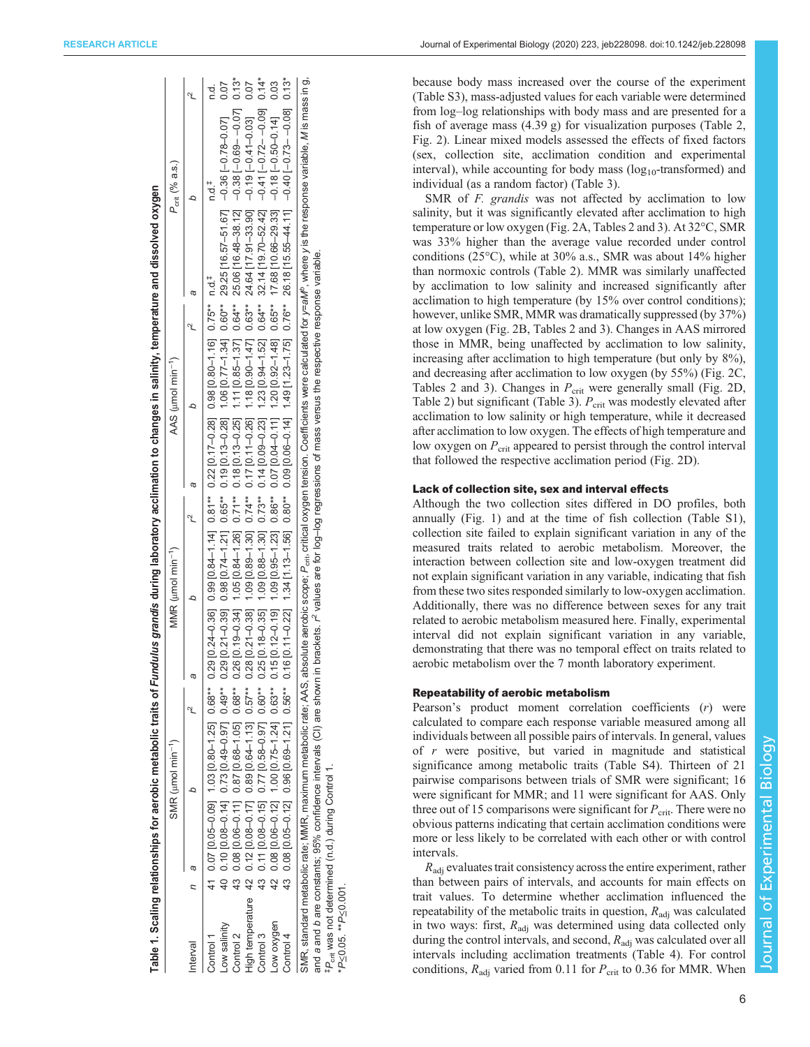|              | Table 1. Scaling relationships for aerobic metabolic traits of Fundulus grandis during laboratory acclimation to changes in salinity, temperature and dissolved oxygen            |                               |  |                                     |  |                               |  |                                                                                                                                                                                                                                           |        |
|--------------|-----------------------------------------------------------------------------------------------------------------------------------------------------------------------------------|-------------------------------|--|-------------------------------------|--|-------------------------------|--|-------------------------------------------------------------------------------------------------------------------------------------------------------------------------------------------------------------------------------------------|--------|
|              |                                                                                                                                                                                   | SMR (umol min <sup>-1</sup> ) |  | MMR ( $\mu$ mol min <sup>-1</sup> ) |  | AAS (µmol min <sup>-1</sup> ) |  | $P_{\text{crit}}$ (% a.s.)                                                                                                                                                                                                                |        |
| nterval      |                                                                                                                                                                                   |                               |  |                                     |  |                               |  |                                                                                                                                                                                                                                           |        |
| Control 1    | 41 0.07 0.09 1.03 [0.80-1.25] 0.88** 0.29 [0.24-0.36] 0.99 [0.81** 0.22 [0.17-0.28] 0.98 [0.80-1.16] 0.75** n.d.+                                                                 |                               |  |                                     |  |                               |  | ∺<br>∩                                                                                                                                                                                                                                    | ਰ<br>ਵ |
| Low salinity |                                                                                                                                                                                   |                               |  |                                     |  |                               |  | 40 0.10 0.40 0.14] 0.43 [0.49-0.37] 0.43** 0.29 [0.121] 0.65** 0.19 [0.13-0.28] 1.05 [0.17-1.21] 0.60* 29.25 [16.57-51.67] -0.79-0.79-0.79-0.79-0.79 [16.40 0.40 0.40 0.40 0.40 0.40 0.40 0.7 0.79 0.25 [16.57-51.840 0.40 0.4            |        |
| Control 2    |                                                                                                                                                                                   |                               |  |                                     |  |                               |  | 43 0.08 0.06-0.11 0.82 0.68** 0.88** 0.26 [0.19-0.34] 1.05 [0.137] 0.71** 0.18 [0.13-0.25] 1.11 [0.85-1.37] 0.541 25.064** 25.0616.48-38.12] -0.38 [10.648-38.12] 0.137] 0.137] 0.137                                                     |        |
|              |                                                                                                                                                                                   |                               |  |                                     |  |                               |  | -ligh temperature 42 0.12 [0.0401.17] 0.89 [0.041.17] 0.12 [0.1-0.39] 0.12 [0.17 [0.31-0.38] 1.12 [0.39] 0.57** 0.12 [0.07-0.38] 0.87** 0.28 [1.13] 0.57** 24.6417.91-0.19 [0.1-0.47] 0.89 [0.03]                                         |        |
| Control 3    |                                                                                                                                                                                   |                               |  |                                     |  |                               |  |                                                                                                                                                                                                                                           |        |
| Low oxygen   |                                                                                                                                                                                   |                               |  |                                     |  |                               |  | 42 0.08 0.042 0.02-0.121 0.63** 0.15 [0.12-0.12] 0.86** 0.07 [0.04-0.11] 1.23] 0.86** 0.760 [0.92-1.48] 0.65** 17.68 [10.66-29.33] -0.18 [-0.50-0.14] 0.03                                                                                |        |
| Control 4    |                                                                                                                                                                                   |                               |  |                                     |  |                               |  |                                                                                                                                                                                                                                           |        |
|              |                                                                                                                                                                                   |                               |  |                                     |  |                               |  | SMR, standard metabolic rate; MMR, maximum metabolic rate; AAS, absolute aerobic scope; P <sub>ort</sub> , critical oxygen tension. Coefficients were calculated for y=aM <sup>e</sup> , where y is the response variable, Mis mass in g, |        |
|              | and a and b are constants; 95% confidence intervals (CI) are shown in brackets. r <sup>2</sup> values are for log-log regressions of mass versus the respective response variable |                               |  |                                     |  |                               |  |                                                                                                                                                                                                                                           |        |

‡Pcrit was not determined (n.d.) during Control 1.

#P<sub>crit</sub> was not determined (n.d.) during Control 1.

\*P≤0.05. \*\*P≤0.001.

P<0.05. \*\*P<0.001

<span id="page-5-0"></span>

because body mass increased over the course of the experiment [\(Table S3](https://jeb.biologists.org/lookup/doi/10.1242/jeb.228098.supplemental)), mass-adjusted values for each variable were determined from log-log relationships with body mass and are presented for a fish of average mass (4.39 g) for visualization purposes [\(Table 2,](#page-6-0) [Fig. 2\)](#page-6-0). Linear mixed models assessed the effects of fixed factors (sex, collection site, acclimation condition and experimental interval), while accounting for body mass  $(log_{10}$ -transformed) and individual (as a random factor) [\(Table 3\)](#page-7-0).

SMR of *F. grandis* was not affected by acclimation to low salinity, but it was significantly elevated after acclimation to high temperature or low oxygen [\(Fig. 2A](#page-6-0), [Tables 2](#page-6-0) and [3\)](#page-7-0). At 32°C, SMR was 33% higher than the average value recorded under control conditions (25°C), while at 30% a.s., SMR was about 14% higher than normoxic controls ([Table 2\)](#page-6-0). MMR was similarly unaffected by acclimation to low salinity and increased significantly after acclimation to high temperature (by 15% over control conditions); however, unlike SMR, MMR was dramatically suppressed (by 37%) at low oxygen [\(Fig. 2](#page-6-0)B, [Tables 2](#page-6-0) and [3](#page-7-0)). Changes in AAS mirrored those in MMR, being unaffected by acclimation to low salinity, increasing after acclimation to high temperature (but only by  $8\%$ ), and decreasing after acclimation to low oxygen (by 55%) [\(Fig. 2](#page-6-0)C, [Tables 2](#page-6-0) and [3\)](#page-7-0). Changes in  $P_{\text{crit}}$  were generally small ([Fig. 2D](#page-6-0), [Table 2](#page-6-0)) but significant [\(Table 3\)](#page-7-0).  $P_{\text{crit}}$  was modestly elevated after acclimation to low salinity or high temperature, while it decreased after acclimation to low oxygen. The effects of high temperature and low oxygen on  $P_{\text{crit}}$  appeared to persist through the control interval that followed the respective acclimation period ([Fig. 2](#page-6-0)D).

## Lack of collection site, sex and interval effects

Although the two collection sites differed in DO profiles, both annually ([Fig. 1\)](#page-2-0) and at the time of fish collection [\(Table S1\)](https://jeb.biologists.org/lookup/doi/10.1242/jeb.228098.supplemental), collection site failed to explain significant variation in any of the measured traits related to aerobic metabolism. Moreover, the interaction between collection site and low-oxygen treatment did not explain significant variation in any variable, indicating that fish from these two sites responded similarly to low-oxygen acclimation. Additionally, there was no difference between sexes for any trait related to aerobic metabolism measured here. Finally, experimental interval did not explain significant variation in any variable, demonstrating that there was no temporal effect on traits related to aerobic metabolism over the 7 month laboratory experiment.

## Repeatability of aerobic metabolism

Pearson's product moment correlation coefficients (r) were calculated to compare each response variable measured among all individuals between all possible pairs of intervals. In general, values of r were positive, but varied in magnitude and statistical significance among metabolic traits ([Table S4\)](https://jeb.biologists.org/lookup/doi/10.1242/jeb.228098.supplemental). Thirteen of 21 pairwise comparisons between trials of SMR were significant; 16 were significant for MMR; and 11 were significant for AAS. Only three out of 15 comparisons were significant for  $P_{\text{crit}}$ . There were no obvious patterns indicating that certain acclimation conditions were more or less likely to be correlated with each other or with control intervals.

 $R_{\text{adi}}$  evaluates trait consistency across the entire experiment, rather than between pairs of intervals, and accounts for main effects on trait values. To determine whether acclimation influenced the repeatability of the metabolic traits in question,  $R_{\text{adj}}$  was calculated in two ways: first,  $R_{\text{adj}}$  was determined using data collected only during the control intervals, and second,  $R_{\text{adj}}$  was calculated over all intervals including acclimation treatments [\(Table 4](#page-7-0)). For control conditions,  $R_{\text{adj}}$  varied from 0.11 for  $P_{\text{crit}}$  to 0.36 for MMR. When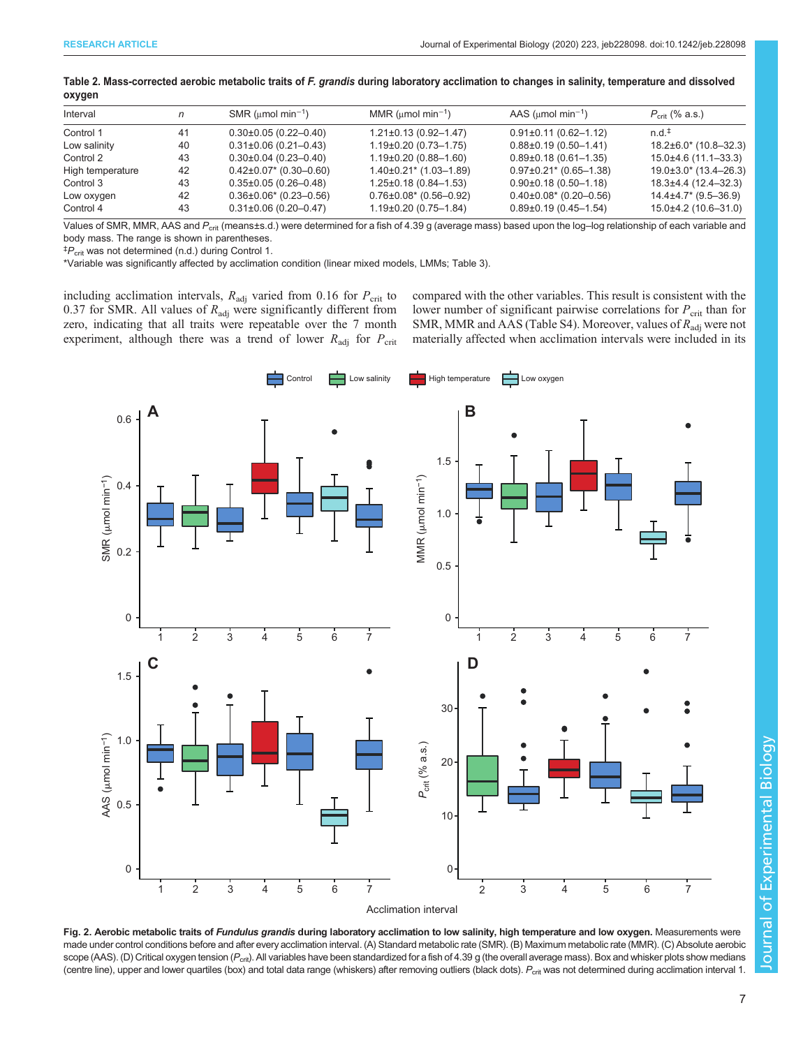|    | SMR ( $\mu$ mol min <sup>-1</sup> ) | MMR (umol min <sup>-1</sup> ) | AAS ( $\mu$ mol min <sup>-1</sup> ) | $P_{\text{crit}}$ (% a.s.) |
|----|-------------------------------------|-------------------------------|-------------------------------------|----------------------------|
| 41 | $0.30\pm0.05(0.22-0.40)$            | $1.21 \pm 0.13$ (0.92-1.47)   | $0.91\pm0.11(0.62-1.12)$            | $n.d.$ <sup>#</sup>        |
| 40 | $0.31\pm0.06$ (0.21-0.43)           | $1.19\pm0.20$ (0.73-1.75)     | $0.88\pm0.19(0.50-1.41)$            | $18.2\pm6.0$ (10.8-32.3)   |
| 43 | $0.30\pm0.04$ (0.23-0.40)           | $1.19\pm0.20$ (0.88-1.60)     | $0.89\pm0.18$ (0.61-1.35)           | 15.0±4.6 (11.1-33.3)       |
| 42 | $0.42\pm0.07$ * (0.30-0.60)         | $1.40\pm0.21$ (1.03-1.89)     | $0.97\pm0.21$ * (0.65-1.38)         | $19.0\pm3.0$ * (13.4-26.3) |
| 43 | $0.35\pm0.05$ (0.26-0.48)           | $1.25 \pm 0.18$ (0.84-1.53)   | $0.90\pm0.18$ (0.50-1.18)           | 18.3±4.4 (12.4–32.3)       |
| 42 | $0.36\pm0.06$ * (0.23-0.56)         | $0.76 \pm 0.08$ * (0.56-0.92) | $0.40\pm0.08$ $(0.20-0.56)$         | $14.4\pm4.7$ (9.5-36.9)    |
| 43 | $0.31\pm0.06$ (0.20-0.47)           | $1.19\pm0.20$ (0.75-1.84)     | $0.89\pm0.19(0.45-1.54)$            | $15.0\pm4.2$ (10.6-31.0)   |
|    |                                     |                               |                                     |                            |

<span id="page-6-0"></span>

| Table 2. Mass-corrected aerobic metabolic traits of F. grandis during laboratory acclimation to changes in salinity, temperature and dissolved |  |  |
|------------------------------------------------------------------------------------------------------------------------------------------------|--|--|
| oxygen                                                                                                                                         |  |  |

Values of SMR, MMR, AAS and  $P_{\rm crit}$  (means±s.d.) were determined for a fish of 4.39 g (average mass) based upon the log-log relationship of each variable and body mass. The range is shown in parentheses.

‡ Pcrit was not determined (n.d.) during Control 1.

\*Variable was significantly affected by acclimation condition (linear mixed models, LMMs; [Table 3\)](#page-7-0).

including acclimation intervals,  $R_{\text{adj}}$  varied from 0.16 for  $P_{\text{crit}}$  to 0.37 for SMR. All values of  $R_{\text{adj}}$  were significantly different from zero, indicating that all traits were repeatable over the 7 month experiment, although there was a trend of lower  $R_{\text{adj}}$  for  $P_{\text{crit}}$  compared with the other variables. This result is consistent with the lower number of significant pairwise correlations for  $P_{\text{crit}}$  than for SMR, MMR and AAS [\(Table S4](https://jeb.biologists.org/lookup/doi/10.1242/jeb.228098.supplemental)). Moreover, values of  $R_{\text{adj}}$  were not materially affected when acclimation intervals were included in its



Fig. 2. Aerobic metabolic traits of Fundulus grandis during laboratory acclimation to low salinity, high temperature and low oxygen. Measurements were made under control conditions before and after every acclimation interval. (A) Standard metabolic rate (SMR). (B) Maximum metabolic rate (MMR). (C) Absolute aerobic scope (AAS). (D) Critical oxygen tension (P<sub>crit</sub>). All variables have been standardized for a fish of 4.39 g (the overall average mass). Box and whisker plots show medians (centre line), upper and lower quartiles (box) and total data range (whiskers) after removing outliers (black dots).  $P_{\text{crit}}$  was not determined during acclimation interval 1.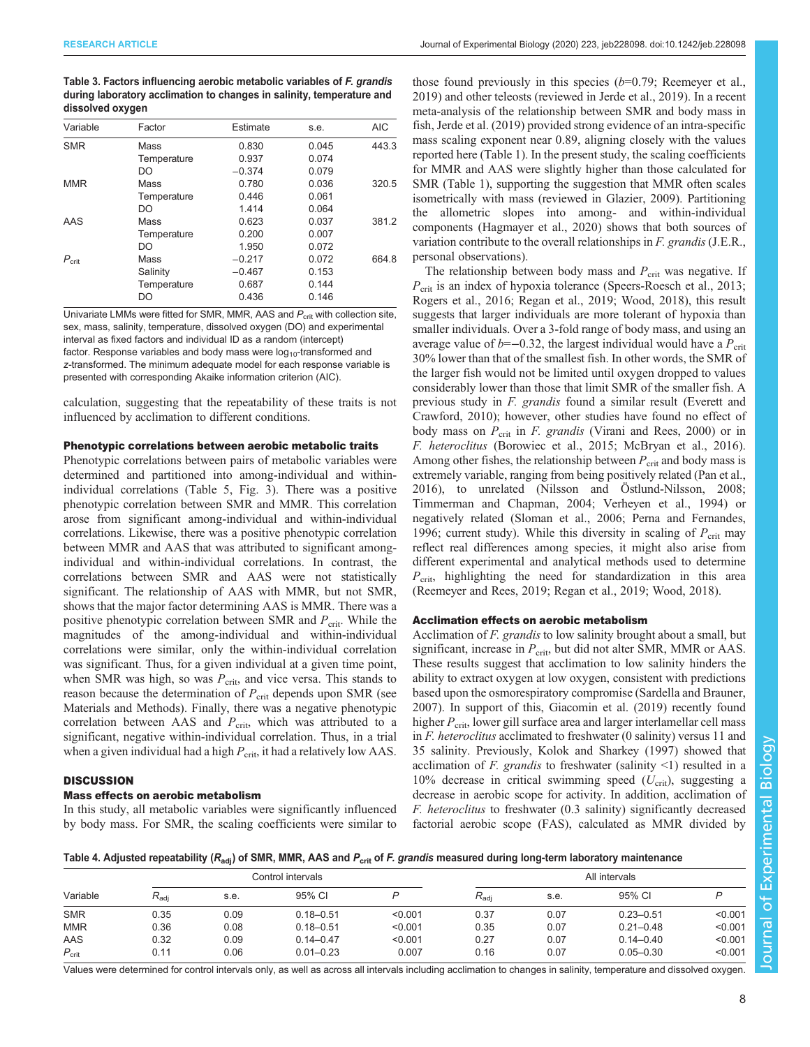<span id="page-7-0"></span>Table 3. Factors influencing aerobic metabolic variables of F. grandis during laboratory acclimation to changes in salinity, temperature and dissolved oxygen

| Variable       | Factor      | Estimate | s.e.  | <b>AIC</b> |
|----------------|-------------|----------|-------|------------|
| <b>SMR</b>     | Mass        | 0.830    | 0.045 | 443.3      |
|                | Temperature | 0.937    | 0.074 |            |
|                | DO          | $-0.374$ | 0.079 |            |
| <b>MMR</b>     | Mass        | 0.780    | 0.036 | 320.5      |
|                | Temperature | 0.446    | 0.061 |            |
|                | DO          | 1.414    | 0.064 |            |
| AAS            | Mass        | 0.623    | 0.037 | 381.2      |
|                | Temperature | 0.200    | 0.007 |            |
|                | DO          | 1.950    | 0.072 |            |
| $P_{\rm crit}$ | Mass        | $-0.217$ | 0.072 | 664.8      |
|                | Salinity    | $-0.467$ | 0.153 |            |
|                | Temperature | 0.687    | 0.144 |            |
|                | DO          | 0.436    | 0.146 |            |

Univariate LMMs were fitted for SMR, MMR, AAS and  $P_{\text{crit}}$  with collection site, sex, mass, salinity, temperature, dissolved oxygen (DO) and experimental interval as fixed factors and individual ID as a random (intercept) factor. Response variables and body mass were  $log_{10}$ -transformed and z-transformed. The minimum adequate model for each response variable is presented with corresponding Akaike information criterion (AIC).

calculation, suggesting that the repeatability of these traits is not influenced by acclimation to different conditions.

### Phenotypic correlations between aerobic metabolic traits

Phenotypic correlations between pairs of metabolic variables were determined and partitioned into among-individual and withinindividual correlations ([Table 5, Fig. 3](#page-8-0)). There was a positive phenotypic correlation between SMR and MMR. This correlation arose from significant among-individual and within-individual correlations. Likewise, there was a positive phenotypic correlation between MMR and AAS that was attributed to significant amongindividual and within-individual correlations. In contrast, the correlations between SMR and AAS were not statistically significant. The relationship of AAS with MMR, but not SMR, shows that the major factor determining AAS is MMR. There was a positive phenotypic correlation between SMR and  $P_{\text{crit}}$ . While the magnitudes of the among-individual and within-individual correlations were similar, only the within-individual correlation was significant. Thus, for a given individual at a given time point, when SMR was high, so was  $P_{\text{crit}}$ , and vice versa. This stands to reason because the determination of  $P_{\text{crit}}$  depends upon SMR (see Materials and Methods). Finally, there was a negative phenotypic correlation between AAS and  $P_{\text{crit}}$ , which was attributed to a significant, negative within-individual correlation. Thus, in a trial when a given individual had a high  $P_{\text{crit}}$ , it had a relatively low AAS.

#### **DISCUSSION**

#### Mass effects on aerobic metabolism

In this study, all metabolic variables were significantly influenced by body mass. For SMR, the scaling coefficients were similar to those found previously in this species  $(b=0.79)$ ; [Reemeyer et al.,](#page-11-0) [2019\)](#page-11-0) and other teleosts (reviewed in [Jerde et al., 2019\)](#page-11-0). In a recent meta-analysis of the relationship between SMR and body mass in fish, [Jerde et al. \(2019\)](#page-11-0) provided strong evidence of an intra-specific mass scaling exponent near 0.89, aligning closely with the values reported here [\(Table 1](#page-5-0)). In the present study, the scaling coefficients for MMR and AAS were slightly higher than those calculated for SMR [\(Table 1](#page-5-0)), supporting the suggestion that MMR often scales isometrically with mass (reviewed in [Glazier, 2009\)](#page-11-0). Partitioning the allometric slopes into among- and within-individual components ([Hagmayer et al., 2020\)](#page-11-0) shows that both sources of variation contribute to the overall relationships in F. grandis (J.E.R., personal observations).

The relationship between body mass and  $P_{\text{crit}}$  was negative. If  $P_{\text{crit}}$  is an index of hypoxia tolerance (Speers-Roesch et al., 2013; [Rogers et al., 2016](#page-11-0); [Regan et al., 2019;](#page-11-0) [Wood, 2018](#page-12-0)), this result suggests that larger individuals are more tolerant of hypoxia than smaller individuals. Over a 3-fold range of body mass, and using an average value of  $b=-0.32$ , the largest individual would have a  $P_{\rm crit}$ 30% lower than that of the smallest fish. In other words, the SMR of the larger fish would not be limited until oxygen dropped to values considerably lower than those that limit SMR of the smaller fish. A previous study in F. grandis found a similar result ([Everett and](#page-11-0) [Crawford, 2010\)](#page-11-0); however, other studies have found no effect of body mass on  $P_{\text{crit}}$  in *F. grandis* ([Virani and Rees, 2000\)](#page-12-0) or in F. heteroclitus [\(Borowiec et al., 2015](#page-10-0); [McBryan et al., 2016\)](#page-11-0). Among other fishes, the relationship between  $P_{\text{crit}}$  and body mass is extremely variable, ranging from being positively related ([Pan et al.,](#page-11-0) [2016\)](#page-11-0), to unrelated ([Nilsson and Östlund-Nilsson, 2008](#page-11-0); [Timmerman and Chapman, 2004; Verheyen et al., 1994](#page-12-0)) or negatively related [\(Sloman et al., 2006](#page-12-0); [Perna and Fernandes,](#page-11-0) [1996;](#page-11-0) current study). While this diversity in scaling of  $P_{\rm crit}$  may reflect real differences among species, it might also arise from different experimental and analytical methods used to determine  $P_{\text{crit}}$ , highlighting the need for standardization in this area [\(Reemeyer and Rees, 2019; Regan et al., 2019](#page-11-0); [Wood, 2018](#page-12-0)).

### Acclimation effects on aerobic metabolism

Acclimation of *F. grandis* to low salinity brought about a small, but significant, increase in  $P_{\text{crit}}$ , but did not alter SMR, MMR or AAS. These results suggest that acclimation to low salinity hinders the ability to extract oxygen at low oxygen, consistent with predictions based upon the osmorespiratory compromise [\(Sardella and Brauner,](#page-12-0) [2007\)](#page-12-0). In support of this, [Giacomin et al. \(2019\)](#page-11-0) recently found higher  $P_{\rm crit}$ , lower gill surface area and larger interlamellar cell mass in F. heteroclitus acclimated to freshwater (0 salinity) versus 11 and 35 salinity. Previously, [Kolok and Sharkey \(1997\)](#page-11-0) showed that acclimation of F. grandis to freshwater (salinity  $\leq$ 1) resulted in a 10% decrease in critical swimming speed  $(U_{\rm crit})$ , suggesting a decrease in aerobic scope for activity. In addition, acclimation of F. heteroclitus to freshwater (0.3 salinity) significantly decreased factorial aerobic scope (FAS), calculated as MMR divided by

Table 4. Adjusted repeatability ( $R_{\text{adj}}$ ) of SMR, MMR, AAS and  $P_{\text{crit}}$  of F. grandis measured during long-term laboratory maintenance

|                |               |      | Control intervals |         |                  |      | All intervals |         |
|----------------|---------------|------|-------------------|---------|------------------|------|---------------|---------|
| Variable       | $R_{\rm adi}$ | s.e. | 95% CI            | D       | $R_{\text{adi}}$ | s.e. | 95% CI        |         |
| <b>SMR</b>     | 0.35          | 0.09 | $0.18 - 0.51$     | < 0.001 | 0.37             | 0.07 | $0.23 - 0.51$ | < 0.001 |
| <b>MMR</b>     | 0.36          | 0.08 | $0.18 - 0.51$     | < 0.001 | 0.35             | 0.07 | $0.21 - 0.48$ | < 0.001 |
| AAS            | 0.32          | 0.09 | $0.14 - 0.47$     | < 0.001 | 0.27             | 0.07 | $0.14 - 0.40$ | < 0.001 |
| $P_{\rm crit}$ | 0.11          | 0.06 | $0.01 - 0.23$     | 0.007   | 0.16             | 0.07 | $0.05 - 0.30$ | < 0.001 |

Values were determined for control intervals only, as well as across all intervals including acclimation to changes in salinity, temperature and dissolved oxygen.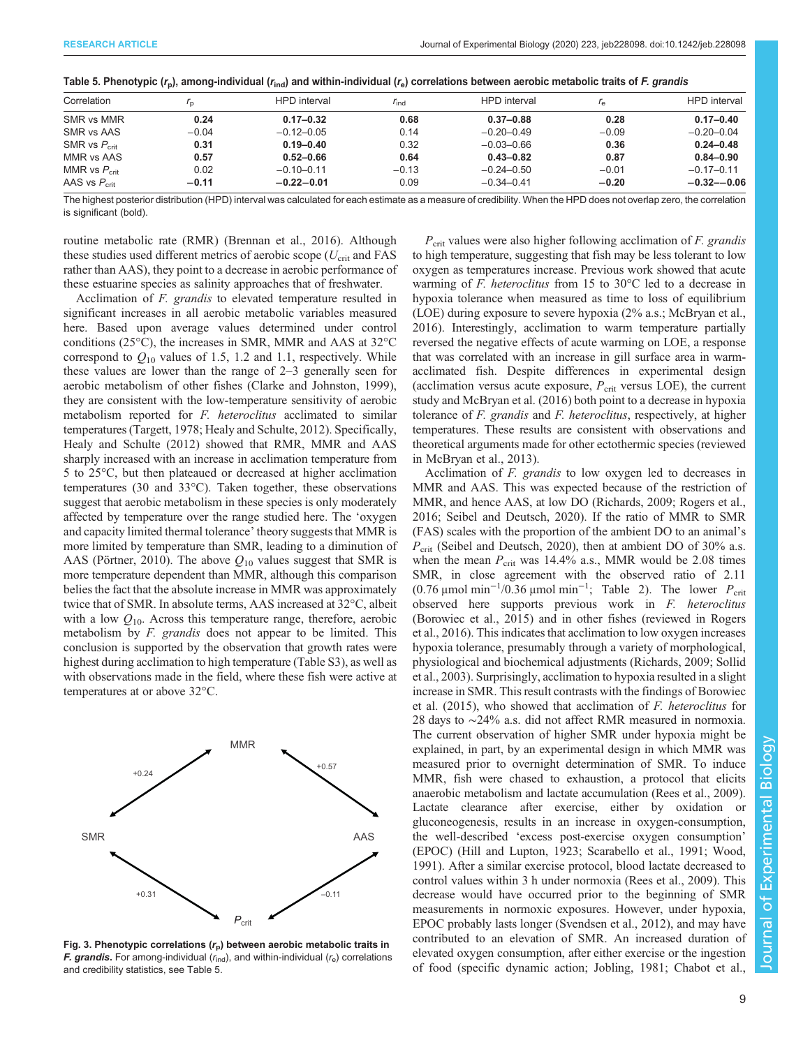| Correlation              | $\mathsf{r}_n$ | <b>HPD</b> interval | $r_{\rm ind}$ | <b>HPD</b> interval |         | <b>HPD</b> interval |
|--------------------------|----------------|---------------------|---------------|---------------------|---------|---------------------|
| SMR vs MMR               | 0.24           | $0.17 - 0.32$       | 0.68          | $0.37 - 0.88$       | 0.28    | $0.17 - 0.40$       |
| SMR vs AAS               | $-0.04$        | $-0.12 - 0.05$      | 0.14          | $-0.20 - 0.49$      | $-0.09$ | $-0.20 - 0.04$      |
| SMR vs $P_{\text{crit}}$ | 0.31           | $0.19 - 0.40$       | 0.32          | $-0.03 - 0.66$      | 0.36    | $0.24 - 0.48$       |
| MMR vs AAS               | 0.57           | $0.52 - 0.66$       | 0.64          | $0.43 - 0.82$       | 0.87    | $0.84 - 0.90$       |
| MMR vs $P_{\text{crit}}$ | 0.02           | $-0.10 - 0.11$      | $-0.13$       | $-0.24 - 0.50$      | $-0.01$ | $-0.17 - 0.11$      |
| AAS vs $P_{\text{crit}}$ | $-0.11$        | $-0.22 - 0.01$      | 0.09          | $-0.34 - 0.41$      | $-0.20$ | $-0.32 - -0.06$     |

<span id="page-8-0"></span>

|  | Table 5. Phenotypic ( $r_p$ ), among-individual ( $r_{\text{ind}}$ ) and within-individual ( $r_e$ ) correlations between aerobic metabolic traits of F. grandis |
|--|------------------------------------------------------------------------------------------------------------------------------------------------------------------|
|--|------------------------------------------------------------------------------------------------------------------------------------------------------------------|

The highest posterior distribution (HPD) interval was calculated for each estimate as a measure of credibility. When the HPD does not overlap zero, the correlation is significant (bold).

routine metabolic rate (RMR) ([Brennan et al., 2016](#page-10-0)). Although these studies used different metrics of aerobic scope ( $U_{\text{crit}}$  and FAS rather than AAS), they point to a decrease in aerobic performance of these estuarine species as salinity approaches that of freshwater.

Acclimation of F. grandis to elevated temperature resulted in significant increases in all aerobic metabolic variables measured here. Based upon average values determined under control conditions (25°C), the increases in SMR, MMR and AAS at 32°C correspond to  $Q_{10}$  values of 1.5, 1.2 and 1.1, respectively. While these values are lower than the range of 2–3 generally seen for aerobic metabolism of other fishes ([Clarke and Johnston, 1999\)](#page-11-0), they are consistent with the low-temperature sensitivity of aerobic metabolism reported for *F. heteroclitus* acclimated to similar temperatures ([Targett, 1978;](#page-12-0) [Healy and Schulte, 2012\)](#page-11-0). Specifically, [Healy and Schulte \(2012\)](#page-11-0) showed that RMR, MMR and AAS sharply increased with an increase in acclimation temperature from 5 to 25°C, but then plateaued or decreased at higher acclimation temperatures (30 and 33°C). Taken together, these observations suggest that aerobic metabolism in these species is only moderately affected by temperature over the range studied here. The 'oxygen and capacity limited thermal tolerance' theory suggests that MMR is more limited by temperature than SMR, leading to a diminution of AAS [\(Pörtner, 2010\)](#page-11-0). The above  $Q_{10}$  values suggest that SMR is more temperature dependent than MMR, although this comparison belies the fact that the absolute increase in MMR was approximately twice that of SMR. In absolute terms, AAS increased at 32°C, albeit with a low  $Q_{10}$ . Across this temperature range, therefore, aerobic metabolism by F. grandis does not appear to be limited. This conclusion is supported by the observation that growth rates were highest during acclimation to high temperature ([Table S3\)](https://jeb.biologists.org/lookup/doi/10.1242/jeb.228098.supplemental), as well as with observations made in the field, where these fish were active at temperatures at or above 32°C.



Fig. 3. Phenotypic correlations  $(r_p)$  between aerobic metabolic traits in F. grandis. For among-individual  $(r_{\text{ind}})$ , and within-individual  $(r_{\text{e}})$  correlations and credibility statistics, see Table 5.

 $P_{\text{crit}}$  values were also higher following acclimation of *F. grandis* to high temperature, suggesting that fish may be less tolerant to low oxygen as temperatures increase. Previous work showed that acute warming of F. heteroclitus from 15 to 30°C led to a decrease in hypoxia tolerance when measured as time to loss of equilibrium (LOE) during exposure to severe hypoxia (2% a.s.; [McBryan et al.,](#page-11-0) [2016\)](#page-11-0). Interestingly, acclimation to warm temperature partially reversed the negative effects of acute warming on LOE, a response that was correlated with an increase in gill surface area in warmacclimated fish. Despite differences in experimental design (acclimation versus acute exposure,  $P_{\text{crit}}$  versus LOE), the current study and [McBryan et al. \(2016\)](#page-11-0) both point to a decrease in hypoxia tolerance of *F. grandis* and *F. heteroclitus*, respectively, at higher temperatures. These results are consistent with observations and theoretical arguments made for other ectothermic species (reviewed in [McBryan et al., 2013\)](#page-11-0).

Acclimation of *F. grandis* to low oxygen led to decreases in MMR and AAS. This was expected because of the restriction of MMR, and hence AAS, at low DO ([Richards, 2009](#page-11-0); [Rogers et al.,](#page-11-0) [2016;](#page-11-0) [Seibel and Deutsch, 2020\)](#page-12-0). If the ratio of MMR to SMR (FAS) scales with the proportion of the ambient DO to an animal's  $P_{\text{crit}}$  ([Seibel and Deutsch, 2020](#page-12-0)), then at ambient DO of 30% a.s. when the mean  $P_{\text{crit}}$  was 14.4% a.s., MMR would be 2.08 times SMR, in close agreement with the observed ratio of 2.11 (0.76  $\mu$ mol min<sup>-1</sup>/0.36  $\mu$ mol min<sup>-1</sup>; [Table 2\)](#page-6-0). The lower  $P_{\text{crit}}$ observed here supports previous work in F. heteroclitus [\(Borowiec et al., 2015](#page-10-0)) and in other fishes (reviewed in [Rogers](#page-11-0) [et al., 2016\)](#page-11-0). This indicates that acclimation to low oxygen increases hypoxia tolerance, presumably through a variety of morphological, physiological and biochemical adjustments [\(Richards, 2009;](#page-11-0) [Sollid](#page-12-0) [et al., 2003\)](#page-12-0). Surprisingly, acclimation to hypoxia resulted in a slight increase in SMR. This result contrasts with the findings of [Borowiec](#page-10-0) [et al. \(2015\)](#page-10-0), who showed that acclimation of F. heteroclitus for 28 days to ∼24% a.s. did not affect RMR measured in normoxia. The current observation of higher SMR under hypoxia might be explained, in part, by an experimental design in which MMR was measured prior to overnight determination of SMR. To induce MMR, fish were chased to exhaustion, a protocol that elicits anaerobic metabolism and lactate accumulation ([Rees et al., 2009\)](#page-11-0). Lactate clearance after exercise, either by oxidation or gluconeogenesis, results in an increase in oxygen-consumption, the well-described 'excess post-exercise oxygen consumption' (EPOC) [\(Hill and Lupton, 1923;](#page-11-0) [Scarabello et al., 1991](#page-12-0); [Wood,](#page-12-0) [1991\)](#page-12-0). After a similar exercise protocol, blood lactate decreased to control values within 3 h under normoxia ([Rees et al., 2009](#page-11-0)). This decrease would have occurred prior to the beginning of SMR measurements in normoxic exposures. However, under hypoxia, EPOC probably lasts longer ([Svendsen et al., 2012\)](#page-12-0), and may have contributed to an elevation of SMR. An increased duration of elevated oxygen consumption, after either exercise or the ingestion of food (specific dynamic action; [Jobling, 1981;](#page-11-0) [Chabot et al.,](#page-10-0)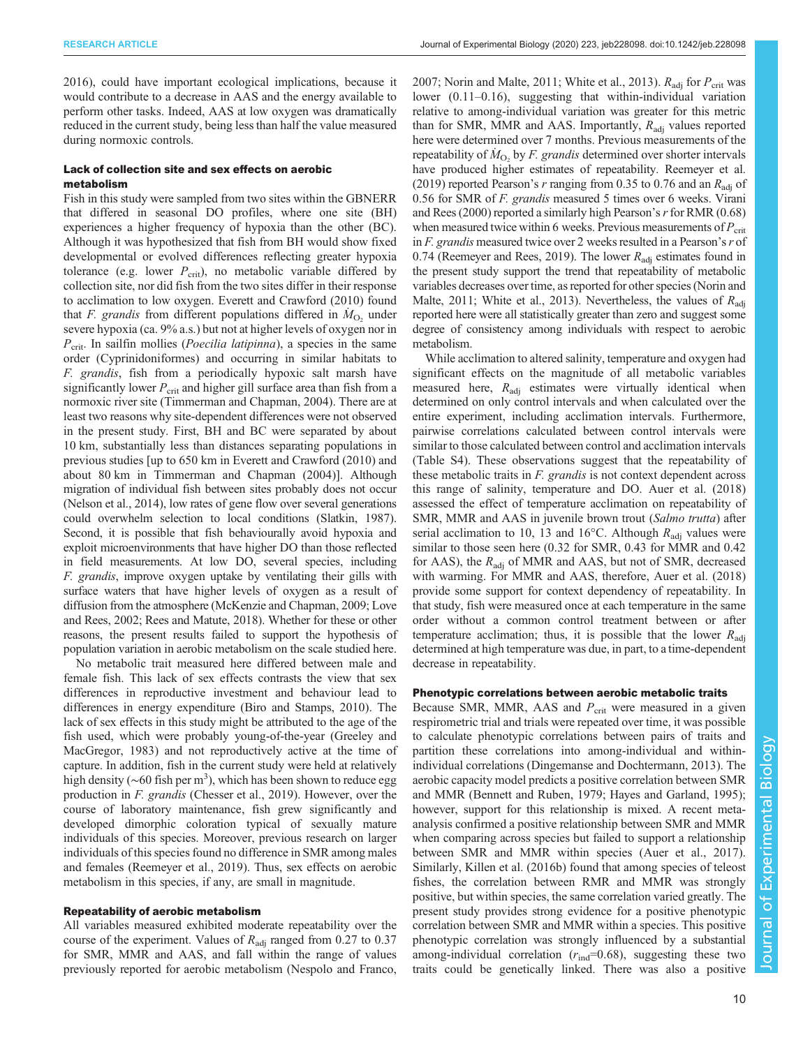[2016](#page-10-0)), could have important ecological implications, because it would contribute to a decrease in AAS and the energy available to perform other tasks. Indeed, AAS at low oxygen was dramatically reduced in the current study, being less than half the value measured during normoxic controls.

## Lack of collection site and sex effects on aerobic metabolism

Fish in this study were sampled from two sites within the GBNERR that differed in seasonal DO profiles, where one site (BH) experiences a higher frequency of hypoxia than the other (BC). Although it was hypothesized that fish from BH would show fixed developmental or evolved differences reflecting greater hypoxia tolerance (e.g. lower  $P_{\text{crit}}$ ), no metabolic variable differed by collection site, nor did fish from the two sites differ in their response to acclimation to low oxygen. [Everett and Crawford \(2010\)](#page-11-0) found that F. grandis from different populations differed in  $\dot{M}_{\text{O}_2}$  under severe hypoxia (ca. 9% a.s.) but not at higher levels of oxygen nor in  $P_{\text{crit}}$ . In sailfin mollies (*Poecilia latipinna*), a species in the same order (Cyprinidoniformes) and occurring in similar habitats to F. grandis, fish from a periodically hypoxic salt marsh have significantly lower  $P_{\text{crit}}$  and higher gill surface area than fish from a normoxic river site [\(Timmerman and Chapman, 2004\)](#page-12-0). There are at least two reasons why site-dependent differences were not observed in the present study. First, BH and BC were separated by about 10 km, substantially less than distances separating populations in previous studies [up to 650 km in [Everett and Crawford \(2010\)](#page-11-0) and about 80 km in [Timmerman and Chapman \(2004\)](#page-12-0)]. Although migration of individual fish between sites probably does not occur [\(Nelson et al., 2014](#page-11-0)), low rates of gene flow over several generations could overwhelm selection to local conditions [\(Slatkin, 1987\)](#page-12-0). Second, it is possible that fish behaviourally avoid hypoxia and exploit microenvironments that have higher DO than those reflected in field measurements. At low DO, several species, including F. grandis, improve oxygen uptake by ventilating their gills with surface waters that have higher levels of oxygen as a result of diffusion from the atmosphere ([McKenzie and Chapman, 2009; Love](#page-11-0) [and Rees, 2002; Rees and Matute, 2018](#page-11-0)). Whether for these or other reasons, the present results failed to support the hypothesis of population variation in aerobic metabolism on the scale studied here.

No metabolic trait measured here differed between male and female fish. This lack of sex effects contrasts the view that sex differences in reproductive investment and behaviour lead to differences in energy expenditure ([Biro and Stamps, 2010\)](#page-10-0). The lack of sex effects in this study might be attributed to the age of the fish used, which were probably young-of-the-year ([Greeley and](#page-11-0) [MacGregor, 1983\)](#page-11-0) and not reproductively active at the time of capture. In addition, fish in the current study were held at relatively high density ( $\sim$ 60 fish per m<sup>3</sup>), which has been shown to reduce egg production in F. grandis ([Chesser et al., 2019\)](#page-10-0). However, over the course of laboratory maintenance, fish grew significantly and developed dimorphic coloration typical of sexually mature individuals of this species. Moreover, previous research on larger individuals of this species found no difference in SMR among males and females ([Reemeyer et al., 2019\)](#page-11-0). Thus, sex effects on aerobic metabolism in this species, if any, are small in magnitude.

### Repeatability of aerobic metabolism

All variables measured exhibited moderate repeatability over the course of the experiment. Values of  $R_{\text{adj}}$  ranged from 0.27 to 0.37 for SMR, MMR and AAS, and fall within the range of values previously reported for aerobic metabolism [\(Nespolo and Franco,](#page-11-0) [2007; Norin and Malte, 2011](#page-11-0); [White et al., 2013](#page-12-0)).  $R_{\text{adi}}$  for  $P_{\text{crit}}$  was lower (0.11–0.16), suggesting that within-individual variation relative to among-individual variation was greater for this metric than for SMR, MMR and AAS. Importantly,  $R_{\text{adi}}$  values reported here were determined over 7 months. Previous measurements of the repeatability of  $\dot{M}_{\text{O}_2}$  by *F. grandis* determined over shorter intervals have produced higher estimates of repeatability. [Reemeyer et al.](#page-11-0) [\(2019\)](#page-11-0) reported Pearson's r ranging from 0.35 to 0.76 and an  $R_{\text{adi}}$  of 0.56 for SMR of F. grandis measured 5 times over 6 weeks. [Virani](#page-12-0) [and Rees \(2000\)](#page-12-0) reported a similarly high Pearson's  $r$  for RMR (0.68) when measured twice within 6 weeks. Previous measurements of  $P_{\text{crit}}$ in  $F$ . grandis measured twice over 2 weeks resulted in a Pearson's  $r$  of 0.74 [\(Reemeyer and Rees, 2019\)](#page-11-0). The lower  $R_{\text{adi}}$  estimates found in the present study support the trend that repeatability of metabolic variables decreases over time, as reported for other species [\(Norin and](#page-11-0) [Malte, 2011](#page-11-0); [White et al., 2013](#page-12-0)). Nevertheless, the values of  $R_{\text{adi}}$ reported here were all statistically greater than zero and suggest some degree of consistency among individuals with respect to aerobic metabolism.

While acclimation to altered salinity, temperature and oxygen had significant effects on the magnitude of all metabolic variables measured here,  $R_{\text{adj}}$  estimates were virtually identical when determined on only control intervals and when calculated over the entire experiment, including acclimation intervals. Furthermore, pairwise correlations calculated between control intervals were similar to those calculated between control and acclimation intervals [\(Table S4\)](https://jeb.biologists.org/lookup/doi/10.1242/jeb.228098.supplemental). These observations suggest that the repeatability of these metabolic traits in F. grandis is not context dependent across this range of salinity, temperature and DO. [Auer et al. \(2018\)](#page-10-0) assessed the effect of temperature acclimation on repeatability of SMR, MMR and AAS in juvenile brown trout (Salmo trutta) after serial acclimation to 10, 13 and 16 $\degree$ C. Although  $R_{\text{adi}}$  values were similar to those seen here (0.32 for SMR, 0.43 for MMR and 0.42 for AAS), the  $R_{\text{adj}}$  of MMR and AAS, but not of SMR, decreased with warming. For MMR and AAS, therefore, [Auer et al. \(2018\)](#page-10-0) provide some support for context dependency of repeatability. In that study, fish were measured once at each temperature in the same order without a common control treatment between or after temperature acclimation; thus, it is possible that the lower  $R_{\text{adi}}$ determined at high temperature was due, in part, to a time-dependent decrease in repeatability.

## Phenotypic correlations between aerobic metabolic traits

Because SMR, MMR, AAS and  $P_{\text{crit}}$  were measured in a given respirometric trial and trials were repeated over time, it was possible to calculate phenotypic correlations between pairs of traits and partition these correlations into among-individual and withinindividual correlations ([Dingemanse and Dochtermann, 2013\)](#page-11-0). The aerobic capacity model predicts a positive correlation between SMR and MMR ([Bennett and Ruben, 1979;](#page-10-0) [Hayes and Garland, 1995](#page-11-0)); however, support for this relationship is mixed. A recent metaanalysis confirmed a positive relationship between SMR and MMR when comparing across species but failed to support a relationship between SMR and MMR within species ([Auer et al., 2017\)](#page-10-0). Similarly, [Killen et al. \(2016b\)](#page-11-0) found that among species of teleost fishes, the correlation between RMR and MMR was strongly positive, but within species, the same correlation varied greatly. The present study provides strong evidence for a positive phenotypic correlation between SMR and MMR within a species. This positive phenotypic correlation was strongly influenced by a substantial among-individual correlation  $(r_{\text{ind}}=0.68)$ , suggesting these two traits could be genetically linked. There was also a positive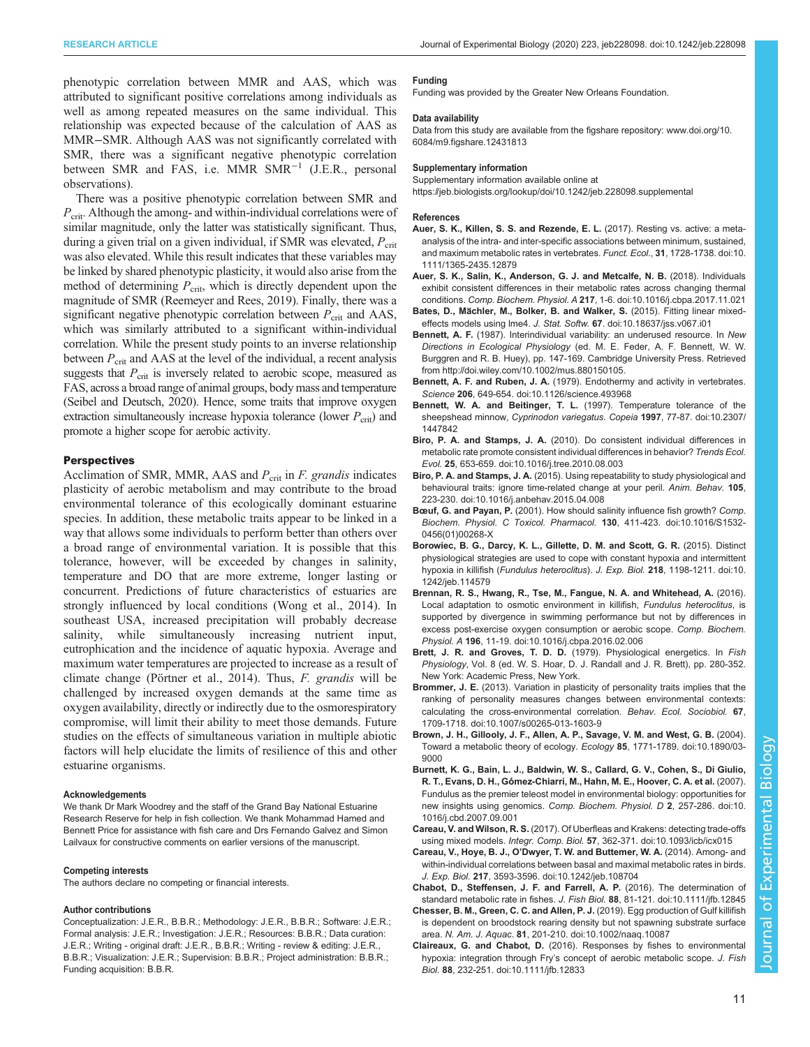<span id="page-10-0"></span>phenotypic correlation between MMR and AAS, which was attributed to significant positive correlations among individuals as well as among repeated measures on the same individual. This relationship was expected because of the calculation of AAS as MMR–SMR. Although AAS was not significantly correlated with SMR, there was a significant negative phenotypic correlation between SMR and FAS, i.e. MMR SMR−<sup>1</sup> (J.E.R., personal observations).

There was a positive phenotypic correlation between SMR and  $P_{\rm crit}$ . Although the among- and within-individual correlations were of similar magnitude, only the latter was statistically significant. Thus, during a given trial on a given individual, if SMR was elevated,  $P_{\rm crit}$ was also elevated. While this result indicates that these variables may be linked by shared phenotypic plasticity, it would also arise from the method of determining  $P_{\text{crit}}$ , which is directly dependent upon the magnitude of SMR ([Reemeyer and Rees, 2019\)](#page-11-0). Finally, there was a significant negative phenotypic correlation between  $P_{\text{crit}}$  and AAS, which was similarly attributed to a significant within-individual correlation. While the present study points to an inverse relationship between  $P_{\rm crit}$  and AAS at the level of the individual, a recent analysis suggests that  $P_{\rm crit}$  is inversely related to aerobic scope, measured as FAS, across a broad range of animal groups, body mass and temperature [\(Seibel and Deutsch, 2020](#page-12-0)). Hence, some traits that improve oxygen extraction simultaneously increase hypoxia tolerance (lower  $P_{\rm crit}$ ) and promote a higher scope for aerobic activity.

## **Perspectives**

Acclimation of SMR, MMR, AAS and  $P_{\text{crit}}$  in *F. grandis* indicates plasticity of aerobic metabolism and may contribute to the broad environmental tolerance of this ecologically dominant estuarine species. In addition, these metabolic traits appear to be linked in a way that allows some individuals to perform better than others over a broad range of environmental variation. It is possible that this tolerance, however, will be exceeded by changes in salinity, temperature and DO that are more extreme, longer lasting or concurrent. Predictions of future characteristics of estuaries are strongly influenced by local conditions ([Wong et al., 2014](#page-12-0)). In southeast USA, increased precipitation will probably decrease salinity, while simultaneously increasing nutrient input, eutrophication and the incidence of aquatic hypoxia. Average and maximum water temperatures are projected to increase as a result of climate change ([Pörtner et al., 2014\)](#page-11-0). Thus, F. grandis will be challenged by increased oxygen demands at the same time as oxygen availability, directly or indirectly due to the osmorespiratory compromise, will limit their ability to meet those demands. Future studies on the effects of simultaneous variation in multiple abiotic factors will help elucidate the limits of resilience of this and other estuarine organisms.

#### Acknowledgements

We thank Dr Mark Woodrey and the staff of the Grand Bay National Estuarine Research Reserve for help in fish collection. We thank Mohammad Hamed and Bennett Price for assistance with fish care and Drs Fernando Galvez and Simon Lailvaux for constructive comments on earlier versions of the manuscript.

#### Competing interests

The authors declare no competing or financial interests.

#### Author contributions

Conceptualization: J.E.R., B.B.R.; Methodology: J.E.R., B.B.R.; Software: J.E.R.; Formal analysis: J.E.R.; Investigation: J.E.R.; Resources: B.B.R.; Data curation: J.E.R.; Writing - original draft: J.E.R., B.B.R.; Writing - review & editing: J.E.R., B.B.R.; Visualization: J.E.R.; Supervision: B.B.R.; Project administration: B.B.R.; Funding acquisition: B.B.R.

#### Funding

Funding was provided by the Greater New Orleans Foundation.

#### Data availability

Data from this study are available from the figshare repository: [www.doi.org/10.](http://www.doi.org/10.6084/m9.figshare.12431813) [6084/m9.figshare.12431813](http://www.doi.org/10.6084/m9.figshare.12431813)

#### Supplementary information

Supplementary information available online at <https://jeb.biologists.org/lookup/doi/10.1242/jeb.228098.supplemental>

#### References

- [Auer, S. K., Killen, S. S. and Rezende, E. L.](https://doi.org/10.1111/1365-2435.12879) (2017). Resting vs. active: a meta[analysis of the intra- and inter-specific associations between minimum, sustained,](https://doi.org/10.1111/1365-2435.12879) [and maximum metabolic rates in vertebrates.](https://doi.org/10.1111/1365-2435.12879) Funct. Ecol., 31, 1728-1738. doi:10. [1111/1365-2435.12879](https://doi.org/10.1111/1365-2435.12879)
- [Auer, S. K., Salin, K., Anderson, G. J. and Metcalfe, N. B.](https://doi.org/10.1016/j.cbpa.2017.11.021) (2018). Individuals [exhibit consistent differences in their metabolic rates across changing thermal](https://doi.org/10.1016/j.cbpa.2017.11.021) conditions. Comp. Biochem. Physiol. A 217[, 1-6. doi:10.1016/j.cbpa.2017.11.021](https://doi.org/10.1016/j.cbpa.2017.11.021)
- Bates, D., Mä[chler, M., Bolker, B. and Walker, S.](https://doi.org/10.18637/jss.v067.i01) (2015). Fitting linear mixedeffects models using lme4. J. Stat. Softw. 67[. doi:10.18637/jss.v067.i01](https://doi.org/10.18637/jss.v067.i01)
- Bennett, A. F. (1987). Interindividual variability: an underused resource. In New Directions in Ecological Physiology (ed. M. E. Feder, A. F. Bennett, W. W. Burggren and R. B. Huey), pp. 147-169. Cambridge University Press. Retrieved from<http://doi.wiley.com/10.1002/mus.880150105>.
- Bennett, A. F. and Ruben, J. A. [\(1979\). Endothermy and activity in vertebrates.](https://doi.org/10.1126/science.493968) Science 206[, 649-654. doi:10.1126/science.493968](https://doi.org/10.1126/science.493968)
- [Bennett, W. A. and Beitinger, T. L.](https://doi.org/10.2307/1447842) (1997). Temperature tolerance of the sheepshead minnow, [Cyprinodon variegatus. Copeia](https://doi.org/10.2307/1447842) 1997, 77-87. doi:10.2307/ [1447842](https://doi.org/10.2307/1447842)
- Biro, P. A. and Stamps, J. A. [\(2010\). Do consistent individual differences in](https://doi.org/10.1016/j.tree.2010.08.003) [metabolic rate promote consistent individual differences in behavior?](https://doi.org/10.1016/j.tree.2010.08.003) Trends Ecol. Evol. 25[, 653-659. doi:10.1016/j.tree.2010.08.003](https://doi.org/10.1016/j.tree.2010.08.003)
- Biro, P. A. and Stamps, J. A. [\(2015\). Using repeatability to study physiological and](https://doi.org/10.1016/j.anbehav.2015.04.008) [behavioural traits: ignore time-related change at your peril.](https://doi.org/10.1016/j.anbehav.2015.04.008) Anim. Behav. 105, [223-230. doi:10.1016/j.anbehav.2015.04.008](https://doi.org/10.1016/j.anbehav.2015.04.008)
- Bœuf, G. and Payan, P. [\(2001\). How should salinity influence fish growth?](https://doi.org/10.1016/S1532-0456(01)00268-X) Comp. [Biochem. Physiol. C Toxicol. Pharmacol.](https://doi.org/10.1016/S1532-0456(01)00268-X) 130, 411-423. doi:10.1016/S1532- [0456\(01\)00268-X](https://doi.org/10.1016/S1532-0456(01)00268-X)
- [Borowiec, B. G., Darcy, K. L., Gillette, D. M. and Scott, G. R.](https://doi.org/10.1242/jeb.114579) (2015). Distinct [physiological strategies are used to cope with constant hypoxia and intermittent](https://doi.org/10.1242/jeb.114579) hypoxia in killifish ([Fundulus heteroclitus](https://doi.org/10.1242/jeb.114579)). J. Exp. Biol. 218, 1198-1211. doi:10. [1242/jeb.114579](https://doi.org/10.1242/jeb.114579)
- [Brennan, R. S., Hwang, R., Tse, M., Fangue, N. A. and Whitehead, A.](https://doi.org/10.1016/j.cbpa.2016.02.006) (2016). [Local adaptation to osmotic environment in killifish,](https://doi.org/10.1016/j.cbpa.2016.02.006) Fundulus heteroclitus, is [supported by divergence in swimming performance but not by differences in](https://doi.org/10.1016/j.cbpa.2016.02.006) [excess post-exercise oxygen consumption or aerobic scope.](https://doi.org/10.1016/j.cbpa.2016.02.006) Comp. Biochem. Physiol. A 196[, 11-19. doi:10.1016/j.cbpa.2016.02.006](https://doi.org/10.1016/j.cbpa.2016.02.006)
- Brett, J. R. and Groves, T. D. D. (1979). Physiological energetics. In Fish Physiology, Vol. 8 (ed. W. S. Hoar, D. J. Randall and J. R. Brett), pp. 280-352. New York: Academic Press, New York.
- Brommer, J. E. [\(2013\). Variation in plasticity of personality traits implies that the](https://doi.org/10.1007/s00265-013-1603-9) [ranking of personality measures changes between environmental contexts:](https://doi.org/10.1007/s00265-013-1603-9) [calculating the cross-environmental correlation.](https://doi.org/10.1007/s00265-013-1603-9) Behav. Ecol. Sociobiol. 67, [1709-1718. doi:10.1007/s00265-013-1603-9](https://doi.org/10.1007/s00265-013-1603-9)
- [Brown, J. H., Gillooly, J. F., Allen, A. P., Savage, V. M. and West, G. B.](https://doi.org/10.1890/03-9000) (2004). [Toward a metabolic theory of ecology.](https://doi.org/10.1890/03-9000) Ecology 85, 1771-1789. doi:10.1890/03- [9000](https://doi.org/10.1890/03-9000)
- [Burnett, K. G., Bain, L. J., Baldwin, W. S., Callard, G. V., Cohen, S., Di Giulio,](https://doi.org/10.1016/j.cbd.2007.09.001) R. T., Evans, D. H., Gó[mez-Chiarri, M., Hahn, M. E., Hoover, C. A. et al.](https://doi.org/10.1016/j.cbd.2007.09.001) (2007). [Fundulus as the premier teleost model in environmental biology: opportunities for](https://doi.org/10.1016/j.cbd.2007.09.001) [new insights using genomics.](https://doi.org/10.1016/j.cbd.2007.09.001) Comp. Biochem. Physiol. D 2, 257-286. doi:10. [1016/j.cbd.2007.09.001](https://doi.org/10.1016/j.cbd.2007.09.001)
- Careau, V. and Wilson, R. S. [\(2017\). Of Uberfleas and Krakens: detecting trade-offs](https://doi.org/10.1093/icb/icx015) using mixed models. Integr. Comp. Biol. 57[, 362-371. doi:10.1093/icb/icx015](https://doi.org/10.1093/icb/icx015)
- Careau, V., Hoye, B. J., O'[Dwyer, T. W. and Buttemer, W. A.](https://doi.org/10.1242/jeb.108704) (2014). Among- and [within-individual correlations between basal and maximal metabolic rates in birds.](https://doi.org/10.1242/jeb.108704) J. Exp. Biol. 217[, 3593-3596. doi:10.1242/jeb.108704](https://doi.org/10.1242/jeb.108704)
- [Chabot, D., Steffensen, J. F. and Farrell, A. P.](https://doi.org/10.1111/jfb.12845) (2016). The determination of [standard metabolic rate in fishes.](https://doi.org/10.1111/jfb.12845) J. Fish Biol. 88, 81-121. doi:10.1111/jfb.12845
- [Chesser, B. M., Green, C. C. and Allen, P. J.](https://doi.org/10.1002/naaq.10087) (2019). Egg production of Gulf killifish [is dependent on broodstock rearing density but not spawning substrate surface](https://doi.org/10.1002/naaq.10087) area. N. Am. J. Aquac. 81[, 201-210. doi:10.1002/naaq.10087](https://doi.org/10.1002/naaq.10087)
- Claireaux, G. and Chabot, D. [\(2016\). Responses by fishes to environmental](https://doi.org/10.1111/jfb.12833) hypoxia: integration through Fry'[s concept of aerobic metabolic scope.](https://doi.org/10.1111/jfb.12833) J. Fish Biol. 88[, 232-251. doi:10.1111/jfb.12833](https://doi.org/10.1111/jfb.12833)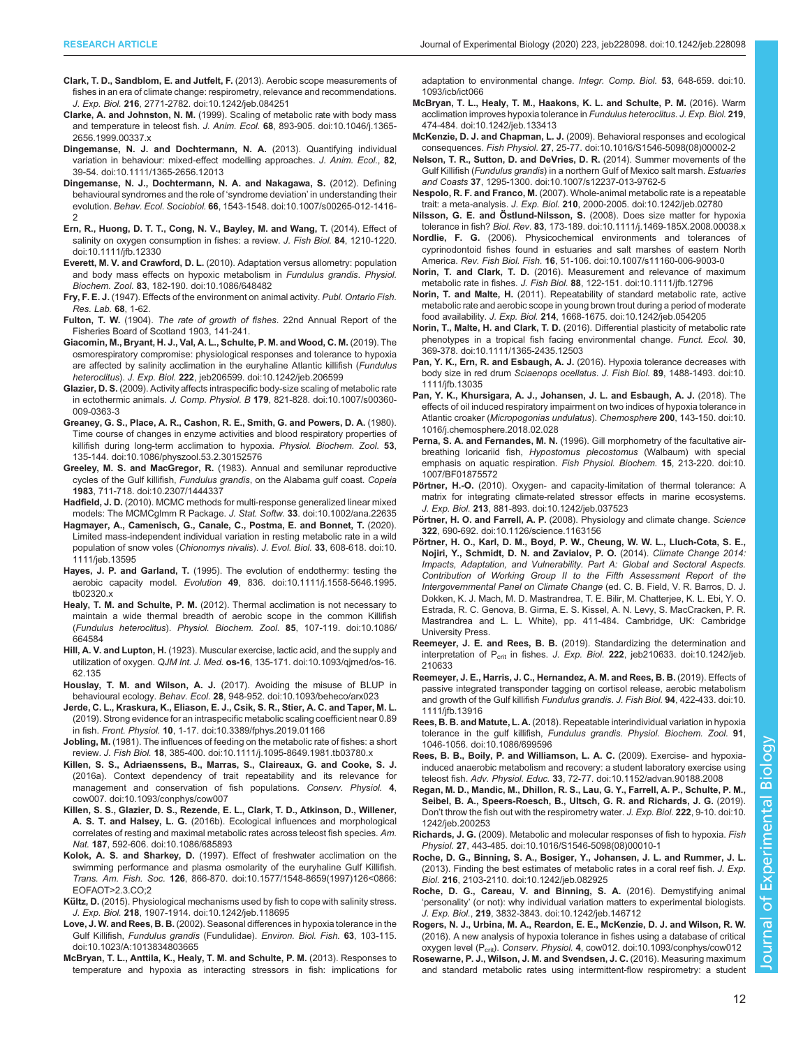- <span id="page-11-0"></span>[Clark, T. D., Sandblom, E. and Jutfelt, F.](https://doi.org/10.1242/jeb.084251) (2013). Aerobic scope measurements of [fishes in an era of climate change: respirometry, relevance and recommendations.](https://doi.org/10.1242/jeb.084251) J. Exp. Biol. 216[, 2771-2782. doi:10.1242/jeb.084251](https://doi.org/10.1242/jeb.084251)
- Clarke, A. and Johnston, N. M. [\(1999\). Scaling of metabolic rate with body mass](https://doi.org/10.1046/j.1365-2656.1999.00337.x) [and temperature in teleost fish.](https://doi.org/10.1046/j.1365-2656.1999.00337.x) J. Anim. Ecol. 68, 893-905. doi:10.1046/j.1365- [2656.1999.00337.x](https://doi.org/10.1046/j.1365-2656.1999.00337.x)
- [Dingemanse, N. J. and Dochtermann, N. A.](https://doi.org/10.1111/1365-2656.12013) (2013). Quantifying individual [variation in behaviour: mixed-effect modelling approaches.](https://doi.org/10.1111/1365-2656.12013) J. Anim. Ecol., 82, [39-54. doi:10.1111/1365-2656.12013](https://doi.org/10.1111/1365-2656.12013)
- [Dingemanse, N. J., Dochtermann, N. A. and Nakagawa, S.](https://doi.org/10.1007/s00265-012-1416-2) (2012). Defining [behavioural syndromes and the role of](https://doi.org/10.1007/s00265-012-1416-2) 'syndrome deviation' in understanding their evolution. Behav. Ecol. Sociobiol. 66[, 1543-1548. doi:10.1007/s00265-012-1416-](https://doi.org/10.1007/s00265-012-1416-2) [2](https://doi.org/10.1007/s00265-012-1416-2)
- [Ern, R., Huong, D. T. T., Cong, N. V., Bayley, M. and Wang, T.](https://doi.org/10.1111/jfb.12330) (2014). Effect of [salinity on oxygen consumption in fishes: a review.](https://doi.org/10.1111/jfb.12330) J. Fish Biol. 84, 1210-1220. [doi:10.1111/jfb.12330](https://doi.org/10.1111/jfb.12330)
- Everett, M. V. and Crawford, D. L. [\(2010\). Adaptation versus allometry: population](https://doi.org/10.1086/648482) [and body mass effects on hypoxic metabolism in](https://doi.org/10.1086/648482) Fundulus grandis. Physiol. Biochem. Zool. 83[, 182-190. doi:10.1086/648482](https://doi.org/10.1086/648482)
- Fry, F. E. J. (1947). Effects of the environment on animal activity. Publ. Ontario Fish. Res. Lab. 68, 1-62.
- Fulton, T. W. (1904). The rate of growth of fishes. 22nd Annual Report of the Fisheries Board of Scotland 1903, 141-241.
- [Giacomin, M., Bryant, H. J., Val, A. L., Schulte, P. M. and Wood, C. M.](https://doi.org/10.1242/jeb.206599) (2019). The [osmorespiratory compromise: physiological responses and tolerance to hypoxia](https://doi.org/10.1242/jeb.206599) [are affected by salinity acclimation in the euryhaline Atlantic killifish \(](https://doi.org/10.1242/jeb.206599)Fundulus heteroclitus). J. Exp. Biol. 222[, jeb206599. doi:10.1242/jeb.206599](https://doi.org/10.1242/jeb.206599)
- Glazier, D. S. [\(2009\). Activity affects intraspecific body-size scaling of metabolic rate](https://doi.org/10.1007/s00360-009-0363-3) in ectothermic animals. J. Comp. Physiol. B 179[, 821-828. doi:10.1007/s00360-](https://doi.org/10.1007/s00360-009-0363-3) [009-0363-3](https://doi.org/10.1007/s00360-009-0363-3)
- [Greaney, G. S., Place, A. R., Cashon, R. E., Smith, G. and Powers, D. A.](https://doi.org/10.1086/physzool.53.2.30152576) (1980). [Time course of changes in enzyme activities and blood respiratory properties of](https://doi.org/10.1086/physzool.53.2.30152576) [killifish during long-term acclimation to hypoxia.](https://doi.org/10.1086/physzool.53.2.30152576) Physiol. Biochem. Zool. 53, [135-144. doi:10.1086/physzool.53.2.30152576](https://doi.org/10.1086/physzool.53.2.30152576)
- Greeley, M. S. and MacGregor, R. [\(1983\). Annual and semilunar reproductive](https://doi.org/10.2307/1444337) cycles of the Gulf killifish, Fundulus grandis[, on the Alabama gulf coast.](https://doi.org/10.2307/1444337) Copeia 1983[, 711-718. doi:10.2307/1444337](https://doi.org/10.2307/1444337)
- Hadfield, J. D. [\(2010\). MCMC methods for multi-response generalized linear mixed](https://doi.org/10.1002/ana.22635) [models: The MCMCglmm R Package.](https://doi.org/10.1002/ana.22635) J. Stat. Softw. 33. doi:10.1002/ana.22635
- [Hagmayer, A., Camenisch, G., Canale, C., Postma, E. and Bonnet, T.](https://doi.org/10.1111/jeb.13595) (2020). [Limited mass-independent individual variation in resting metabolic rate in a wild](https://doi.org/10.1111/jeb.13595) [population of snow voles \(](https://doi.org/10.1111/jeb.13595)Chionomys nivalis). J. Evol. Biol. 33, 608-618. doi:10. [1111/jeb.13595](https://doi.org/10.1111/jeb.13595)
- Hayes, J. P. and Garland, T. [\(1995\). The evolution of endothermy: testing the](https://doi.org/10.1111/j.1558-5646.1995.tb02320.x) aerobic capacity model. Evolution 49[, 836. doi:10.1111/j.1558-5646.1995.](https://doi.org/10.1111/j.1558-5646.1995.tb02320.x) [tb02320.x](https://doi.org/10.1111/j.1558-5646.1995.tb02320.x)
- Healy, T. M. and Schulte, P. M. [\(2012\). Thermal acclimation is not necessary to](https://doi.org/10.1086/664584) [maintain a wide thermal breadth of aerobic scope in the common Killifish](https://doi.org/10.1086/664584) (Fundulus heteroclitus). [Physiol. Biochem. Zool.](https://doi.org/10.1086/664584) 85, 107-119. doi:10.1086/ [664584](https://doi.org/10.1086/664584)
- Hill, A. V. and Lupton, H. [\(1923\). Muscular exercise, lactic acid, and the supply and](https://doi.org/10.1093/qjmed/os-16.62.135) utilization of oxygen. QJM Int. J. Med. os-16[, 135-171. doi:10.1093/qjmed/os-16.](https://doi.org/10.1093/qjmed/os-16.62.135) [62.135](https://doi.org/10.1093/qjmed/os-16.62.135)
- Houslay, T. M. and Wilson, A. J. [\(2017\). Avoiding the misuse of BLUP in](https://doi.org/10.1093/beheco/arx023) behavioural ecology. Behav. Ecol. 28[, 948-952. doi:10.1093/beheco/arx023](https://doi.org/10.1093/beheco/arx023)
- [Jerde, C. L., Kraskura, K., Eliason, E. J., Csik, S. R., Stier, A. C. and Taper, M. L.](https://doi.org/10.3389/fphys.2019.01166) [\(2019\). Strong evidence for an intraspecific metabolic scaling coefficient near 0.89](https://doi.org/10.3389/fphys.2019.01166) in fish. Front. Physiol. 10[, 1-17. doi:10.3389/fphys.2019.01166](https://doi.org/10.3389/fphys.2019.01166)
- Jobling, M. [\(1981\). The influences of feeding on the metabolic rate of fishes: a short](https://doi.org/10.1111/j.1095-8649.1981.tb03780.x) review. J. Fish Biol. 18[, 385-400. doi:10.1111/j.1095-8649.1981.tb03780.x](https://doi.org/10.1111/j.1095-8649.1981.tb03780.x)
- [Killen, S. S., Adriaenssens, B., Marras, S., Claireaux, G. and Cooke, S. J.](https://doi.org/10.1093/conphys/cow007) [\(2016a\). Context dependency of trait repeatability and its relevance for](https://doi.org/10.1093/conphys/cow007) [management and conservation of fish populations.](https://doi.org/10.1093/conphys/cow007) Conserv. Physiol. 4, [cow007. doi:10.1093/conphys/cow007](https://doi.org/10.1093/conphys/cow007)
- [Killen, S. S., Glazier, D. S., Rezende, E. L., Clark, T. D., Atkinson, D., Willener,](https://doi.org/10.1086/685893) A. S. T. and Halsey, L. G. [\(2016b\). Ecological influences and morphological](https://doi.org/10.1086/685893) [correlates of resting and maximal metabolic rates across teleost fish species.](https://doi.org/10.1086/685893) Am. Nat. 187[, 592-606. doi:10.1086/685893](https://doi.org/10.1086/685893)
- Kolok, A. S. and Sharkey, D. [\(1997\). Effect of freshwater acclimation on the](https://doi.org/10.1577/1548-8659(1997)126%3C0866:EOFAOT%3E2.3.CO;2) [swimming performance and plasma osmolarity of the euryhaline Gulf Killifish.](https://doi.org/10.1577/1548-8659(1997)126%3C0866:EOFAOT%3E2.3.CO;2) Trans. Am. Fish. Soc. 126[, 866-870. doi:10.1577/1548-8659\(1997\)126<0866:](https://doi.org/10.1577/1548-8659(1997)126%3C0866:EOFAOT%3E2.3.CO;2) [EOFAOT>2.3.CO;2](https://doi.org/10.1577/1548-8659(1997)126%3C0866:EOFAOT%3E2.3.CO;2)
- Kültz, D. [\(2015\). Physiological mechanisms used by fish to cope with salinity stress.](https://doi.org/10.1242/jeb.118695) J. Exp. Biol. 218[, 1907-1914. doi:10.1242/jeb.118695](https://doi.org/10.1242/jeb.118695)
- Love, J. W. and Rees, B. B. [\(2002\). Seasonal differences in hypoxia tolerance in the](https://doi.org/10.1023/A:1013834803665) Gulf Killifish, Fundulus grandis (Fundulidae). [Environ. Biol. Fish.](https://doi.org/10.1023/A:1013834803665) 63, 103-115. [doi:10.1023/A:1013834803665](https://doi.org/10.1023/A:1013834803665)
- [McBryan, T. L., Anttila, K., Healy, T. M. and Schulte, P. M.](https://doi.org/10.1093/icb/ict066) (2013). Responses to [temperature and hypoxia as interacting stressors in fish: implications for](https://doi.org/10.1093/icb/ict066)

[adaptation to environmental change.](https://doi.org/10.1093/icb/ict066) Integr. Comp. Biol. 53, 648-659. doi:10. [1093/icb/ict066](https://doi.org/10.1093/icb/ict066)

- [McBryan, T. L., Healy, T. M., Haakons, K. L. and Schulte, P. M.](https://doi.org/10.1242/jeb.133413) (2016). Warm [acclimation improves hypoxia tolerance in](https://doi.org/10.1242/jeb.133413) Fundulus heteroclitus. J. Exp. Biol. 219, [474-484. doi:10.1242/jeb.133413](https://doi.org/10.1242/jeb.133413)
- McKenzie, D. J. and Chapman, L. J. [\(2009\). Behavioral responses and ecological](https://doi.org/10.1016/S1546-5098(08)00002-2) consequences. Fish Physiol. 27[, 25-77. doi:10.1016/S1546-5098\(08\)00002-2](https://doi.org/10.1016/S1546-5098(08)00002-2)
- [Nelson, T. R., Sutton, D. and DeVries, D. R.](https://doi.org/10.1007/s12237-013-9762-5) (2014). Summer movements of the Gulf Killifish (Fundulus grandis[\) in a northern Gulf of Mexico salt marsh.](https://doi.org/10.1007/s12237-013-9762-5) Estuaries and Coasts 37[, 1295-1300. doi:10.1007/s12237-013-9762-5](https://doi.org/10.1007/s12237-013-9762-5)
- Nespolo, R. F. and Franco, M. [\(2007\). Whole-animal metabolic rate is a repeatable](https://doi.org/10.1242/jeb.02780) trait: a meta-analysis. J. Exp. Biol. 210[, 2000-2005. doi:10.1242/jeb.02780](https://doi.org/10.1242/jeb.02780)
- Nilsson, G. E. and Östlund-Nilsson, S. [\(2008\). Does size matter for hypoxia](https://doi.org/10.1111/j.1469-185X.2008.00038.x) tolerance in fish? Biol. Rev. 83[, 173-189. doi:10.1111/j.1469-185X.2008.00038.x](https://doi.org/10.1111/j.1469-185X.2008.00038.x)
- Nordlie, F. G. [\(2006\). Physicochemical environments and tolerances of](https://doi.org/10.1007/s11160-006-9003-0) [cyprinodontoid fishes found in estuaries and salt marshes of eastern North](https://doi.org/10.1007/s11160-006-9003-0) America. Rev. Fish Biol. Fish. 16[, 51-106. doi:10.1007/s11160-006-9003-0](https://doi.org/10.1007/s11160-006-9003-0)
- Norin, T. and Clark, T. D. [\(2016\). Measurement and relevance of maximum](https://doi.org/10.1111/jfb.12796) metabolic rate in fishes. J. Fish Biol. 88[, 122-151. doi:10.1111/jfb.12796](https://doi.org/10.1111/jfb.12796)
- Norin, T. and Malte, H. [\(2011\). Repeatability of standard metabolic rate, active](https://doi.org/10.1242/jeb.054205) [metabolic rate and aerobic scope in young brown trout during a period of moderate](https://doi.org/10.1242/jeb.054205) food availability. J. Exp. Biol. 214[, 1668-1675. doi:10.1242/jeb.054205](https://doi.org/10.1242/jeb.054205)
- Norin, T., Malte, H. and Clark, T. D. [\(2016\). Differential plasticity of metabolic rate](https://doi.org/10.1111/1365-2435.12503) [phenotypes in a tropical fish facing environmental change.](https://doi.org/10.1111/1365-2435.12503) Funct. Ecol. 30, [369-378. doi:10.1111/1365-2435.12503](https://doi.org/10.1111/1365-2435.12503)
- Pan, Y. K., Ern, R. and Esbaugh, A. J. [\(2016\). Hypoxia tolerance decreases with](https://doi.org/10.1111/jfb.13035) [body size in red drum](https://doi.org/10.1111/jfb.13035) Sciaenops ocellatus. J. Fish Biol. 89, 1488-1493. doi:10. [1111/jfb.13035](https://doi.org/10.1111/jfb.13035)
- [Pan, Y. K., Khursigara, A. J., Johansen, J. L. and Esbaugh, A. J.](https://doi.org/10.1016/j.chemosphere.2018.02.028) (2018). The [effects of oil induced respiratory impairment on two indices of hypoxia tolerance in](https://doi.org/10.1016/j.chemosphere.2018.02.028) Atlantic croaker ([Micropogonias undulatus](https://doi.org/10.1016/j.chemosphere.2018.02.028)). Chemosphere 200, 143-150. doi:10. [1016/j.chemosphere.2018.02.028](https://doi.org/10.1016/j.chemosphere.2018.02.028)
- Perna, S. A. and Fernandes, M. N. [\(1996\). Gill morphometry of the facultative air](https://doi.org/10.1007/BF01875572)breathing loricariid fish, [Hypostomus plecostomus](https://doi.org/10.1007/BF01875572) (Walbaum) with special [emphasis on aquatic respiration.](https://doi.org/10.1007/BF01875572) Fish Physiol. Biochem. 15, 213-220. doi:10. [1007/BF01875572](https://doi.org/10.1007/BF01875572)
- Pörtner, H.-O. [\(2010\). Oxygen- and capacity-limitation of thermal tolerance: A](https://doi.org/10.1242/jeb.037523) [matrix for integrating climate-related stressor effects in marine ecosystems.](https://doi.org/10.1242/jeb.037523) J. Exp. Biol. 213[, 881-893. doi:10.1242/jeb.037523](https://doi.org/10.1242/jeb.037523)
- Pörtner, H. O. and Farrell, A. P. [\(2008\). Physiology and climate change.](https://doi.org/10.1126/science.1163156) Science 322[, 690-692. doi:10.1126/science.1163156](https://doi.org/10.1126/science.1163156)
- Pörtner, H. O., Karl, D. M., Boyd, P. W., Cheung, W. W. L., Lluch-Cota, S. E., Nojiri, Y., Schmidt, D. N. and Zavialov, P. O. (2014). Climate Change 2014: Impacts, Adaptation, and Vulnerability. Part A: Global and Sectoral Aspects. Contribution of Working Group II to the Fifth Assessment Report of the Intergovernmental Panel on Climate Change (ed. C. B. Field, V. R. Barros, D. J. Dokken, K. J. Mach, M. D. Mastrandrea, T. E. Bilir, M. Chatterjee, K. L. Ebi, Y. O. Estrada, R. C. Genova, B. Girma, E. S. Kissel, A. N. Levy, S. MacCracken, P. R. Mastrandrea and L. L. White), pp. 411-484. Cambridge, UK: Cambridge University Press.
- Reemeyer, J. E. and Rees, B. B. [\(2019\). Standardizing the determination and](https://doi.org/10.1242/jeb.210633) interpretation of  $P_{crit}$  in fishes. J. Exp. Biol. 222[, jeb210633. doi:10.1242/jeb.](https://doi.org/10.1242/jeb.210633) [210633](https://doi.org/10.1242/jeb.210633)
- [Reemeyer, J. E., Harris, J. C., Hernandez, A. M. and Rees, B. B.](https://doi.org/10.1111/jfb.13916) (2019). Effects of [passive integrated transponder tagging on cortisol release, aerobic metabolism](https://doi.org/10.1111/jfb.13916) [and growth of the Gulf killifish](https://doi.org/10.1111/jfb.13916) Fundulus grandis. J. Fish Biol. 94, 422-433. doi:10. [1111/jfb.13916](https://doi.org/10.1111/jfb.13916)
- Rees, B. B. and Matute, L. A. [\(2018\). Repeatable interindividual variation in hypoxia](https://doi.org/10.1086/699596) [tolerance in the gulf killifish,](https://doi.org/10.1086/699596) Fundulus grandis. Physiol. Biochem. Zool. 91, [1046-1056. doi:10.1086/699596](https://doi.org/10.1086/699596)
- [Rees, B. B., Boily, P. and Williamson, L. A. C.](https://doi.org/10.1152/advan.90188.2008) (2009). Exercise- and hypoxia[induced anaerobic metabolism and recovery: a student laboratory exercise using](https://doi.org/10.1152/advan.90188.2008) teleost fish. Adv. Physiol. Educ. 33[, 72-77. doi:10.1152/advan.90188.2008](https://doi.org/10.1152/advan.90188.2008)
- [Regan, M. D., Mandic, M., Dhillon, R. S., Lau, G. Y., Farrell, A. P., Schulte, P. M.,](https://doi.org/10.1242/jeb.200253) [Seibel, B. A., Speers-Roesch, B., Ultsch, G. R. and Richards, J. G.](https://doi.org/10.1242/jeb.200253) (2019). Don'[t throw the fish out with the respirometry water.](https://doi.org/10.1242/jeb.200253) J. Exp. Biol. 222, 9-10. doi:10. [1242/jeb.200253](https://doi.org/10.1242/jeb.200253)
- Richards, J. G. [\(2009\). Metabolic and molecular responses of fish to hypoxia.](https://doi.org/10.1016/S1546-5098(08)00010-1) Fish Physiol. 27[, 443-485. doi:10.1016/S1546-5098\(08\)00010-1](https://doi.org/10.1016/S1546-5098(08)00010-1)
- [Roche, D. G., Binning, S. A., Bosiger, Y., Johansen, J. L. and Rummer, J. L.](http://dx.doi.org/10.1242/jeb.082925) [\(2013\). Finding the best estimates of metabolic rates in a coral reef fish.](http://dx.doi.org/10.1242/jeb.082925) J. Exp. Biol. 216[, 2103-2110. doi:10.1242/jeb.082925](http://dx.doi.org/10.1242/jeb.082925)
- [Roche, D. G., Careau, V. and Binning, S. A.](https://doi.org/10.1242/jeb.146712) (2016). Demystifying animal 'personality' [\(or not\): why individual variation matters to experimental biologists.](https://doi.org/10.1242/jeb.146712) J. Exp. Biol., 219[, 3832-3843. doi:10.1242/jeb.146712](https://doi.org/10.1242/jeb.146712)

[Rosewarne, P. J., Wilson, J. M. and Svendsen, J. C.](https://doi.org/10.1111/jfb.12795) (2016). Measuring maximum [and standard metabolic rates using intermittent-flow respirometry: a student](https://doi.org/10.1111/jfb.12795)

[Rogers, N. J., Urbina, M. A., Reardon, E. E., McKenzie, D. J. and Wilson, R. W.](https://doi.org/10.1093/conphys/cow012) [\(2016\). A new analysis of hypoxia tolerance in fishes using a database of critical](https://doi.org/10.1093/conphys/cow012) oxygen level (P<sub>crit</sub>). Conserv. Physiol. 4[, cow012. doi:10.1093/conphys/cow012](https://doi.org/10.1093/conphys/cow012)